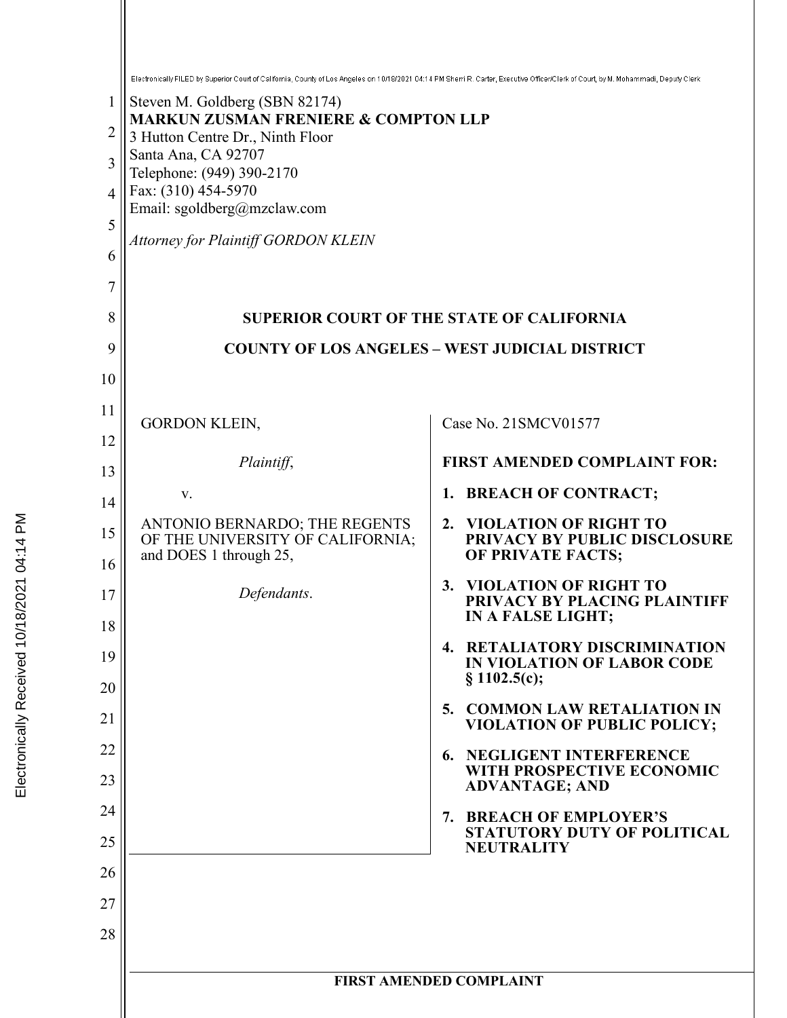|          | Electronically FILED by Superior Court of California, County of Los Angeles on 10/18/2021 04:14 PM Sherri R. Carter, Executive Officer/Clerk of Court, by M. Mohammadi, Deputy Clerk |                                                                                        |
|----------|--------------------------------------------------------------------------------------------------------------------------------------------------------------------------------------|----------------------------------------------------------------------------------------|
| 1        | Steven M. Goldberg (SBN 82174)                                                                                                                                                       |                                                                                        |
| 2        | <b>MARKUN ZUSMAN FRENIERE &amp; COMPTON LLP</b><br>3 Hutton Centre Dr., Ninth Floor                                                                                                  |                                                                                        |
| 3        | Santa Ana, CA 92707                                                                                                                                                                  |                                                                                        |
| 4        | Telephone: (949) 390-2170<br>Fax: (310) 454-5970                                                                                                                                     |                                                                                        |
| 5        | Email: sgoldberg@mzclaw.com                                                                                                                                                          |                                                                                        |
| 6        | <b>Attorney for Plaintiff GORDON KLEIN</b>                                                                                                                                           |                                                                                        |
| 7        |                                                                                                                                                                                      |                                                                                        |
| 8        |                                                                                                                                                                                      | <b>SUPERIOR COURT OF THE STATE OF CALIFORNIA</b>                                       |
| 9        |                                                                                                                                                                                      | <b>COUNTY OF LOS ANGELES - WEST JUDICIAL DISTRICT</b>                                  |
| 10       |                                                                                                                                                                                      |                                                                                        |
| 11       |                                                                                                                                                                                      | Case No. 21SMCV01577                                                                   |
| 12       | <b>GORDON KLEIN,</b>                                                                                                                                                                 |                                                                                        |
| 13       | Plaintiff,                                                                                                                                                                           | <b>FIRST AMENDED COMPLAINT FOR:</b>                                                    |
| 14       | V.                                                                                                                                                                                   | <b>BREACH OF CONTRACT;</b><br>1.                                                       |
| 15<br>16 | ANTONIO BERNARDO; THE REGENTS<br>OF THE UNIVERSITY OF CALIFORNIA;<br>and DOES 1 through 25,                                                                                          | 2. VIOLATION OF RIGHT TO<br>PRIVACY BY PUBLIC DISCLOSURE<br>OF PRIVATE FACTS;          |
| 17       | Defendants.                                                                                                                                                                          | <b>VIOLATION OF RIGHT TO</b><br>3.                                                     |
| 18       |                                                                                                                                                                                      | PRIVACY BY PLACING PLAINTIFF<br>IN A FALSE LIGHT;                                      |
| 19       |                                                                                                                                                                                      | 4. RETALIATORY DISCRIMINATION<br>IN VIOLATION OF LABOR CODE<br>§ 1102.5(c);            |
| 20       |                                                                                                                                                                                      | 5. COMMON LAW RETALIATION IN                                                           |
| 21       |                                                                                                                                                                                      | <b>VIOLATION OF PUBLIC POLICY;</b>                                                     |
| 22<br>23 |                                                                                                                                                                                      | <b>6. NEGLIGENT INTERFERENCE</b><br>WITH PROSPECTIVE ECONOMIC<br><b>ADVANTAGE; AND</b> |
| 24       |                                                                                                                                                                                      | 7. BREACH OF EMPLOYER'S                                                                |
| 25       |                                                                                                                                                                                      | <b>STATUTORY DUTY OF POLITICAL</b><br><b>NEUTRALITY</b>                                |
| 26       |                                                                                                                                                                                      |                                                                                        |
| 27       |                                                                                                                                                                                      |                                                                                        |
| 28       |                                                                                                                                                                                      |                                                                                        |
|          |                                                                                                                                                                                      | <b>FIRST AMENDED COMPLAINT</b>                                                         |
|          |                                                                                                                                                                                      |                                                                                        |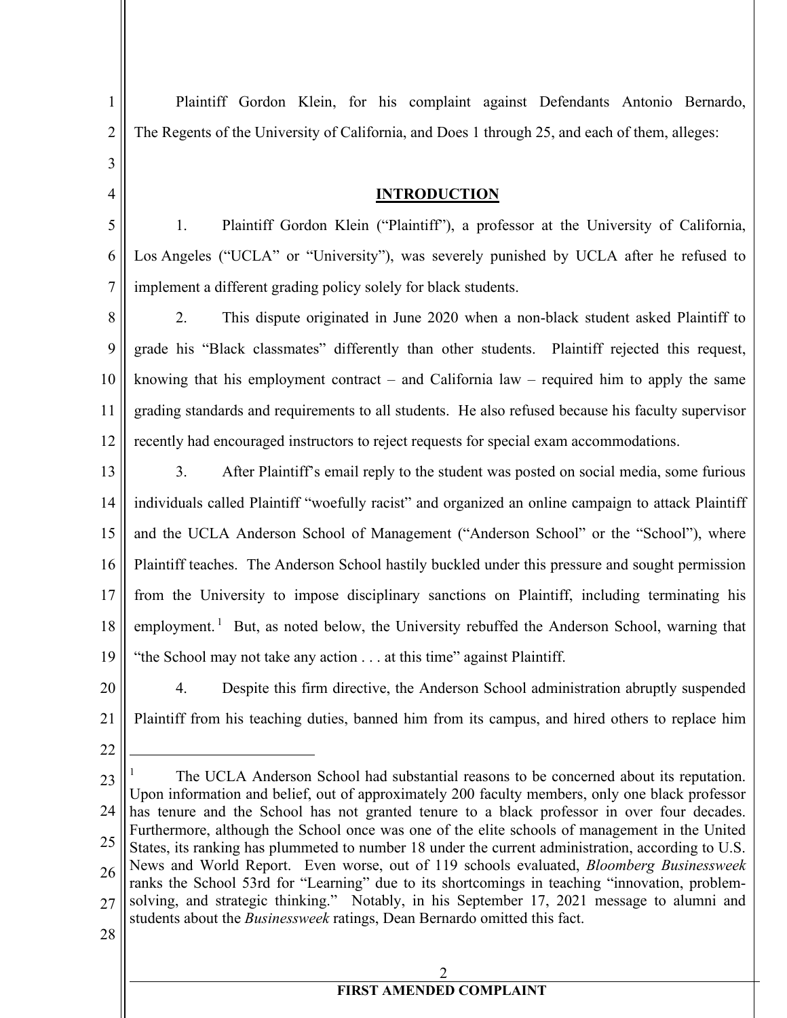3

4

5

6

7

1

Plaintiff Gordon Klein, for his complaint against Defendants Antonio Bernardo, The Regents of the University of California, and Does 1 through 25, and each of them, alleges:

#### **INTRODUCTION**

1. Plaintiff Gordon Klein ("Plaintiff"), a professor at the University of California, Los Angeles ("UCLA" or "University"), was severely punished by UCLA after he refused to implement a different grading policy solely for black students.

8 9 10 11 12 2. This dispute originated in June 2020 when a non-black student asked Plaintiff to grade his "Black classmates" differently than other students. Plaintiff rejected this request, knowing that his employment contract – and California law – required him to apply the same grading standards and requirements to all students. He also refused because his faculty supervisor recently had encouraged instructors to reject requests for special exam accommodations.

- 13 14 15 16 17 18 19 3. After Plaintiff's email reply to the student was posted on social media, some furious individuals called Plaintiff "woefully racist" and organized an online campaign to attack Plaintiff and the UCLA Anderson School of Management ("Anderson School" or the "School"), where Plaintiff teaches. The Anderson School hastily buckled under this pressure and sought permission from the University to impose disciplinary sanctions on Plaintiff, including terminating his employment.<sup>1</sup> But, as noted below, the University rebuffed the Anderson School, warning that "the School may not take any action . . . at this time" against Plaintiff.
- 20 21 4. Despite this firm directive, the Anderson School administration abruptly suspended Plaintiff from his teaching duties, banned him from its campus, and hired others to replace him
- 22

23 24 25 26 27 <sup>1</sup> The UCLA Anderson School had substantial reasons to be concerned about its reputation. Upon information and belief, out of approximately 200 faculty members, only one black professor has tenure and the School has not granted tenure to a black professor in over four decades. Furthermore, although the School once was one of the elite schools of management in the United States, its ranking has plummeted to number 18 under the current administration, according to U.S. News and World Report. Even worse, out of 119 schools evaluated, *Bloomberg Businessweek* ranks the School 53rd for "Learning" due to its shortcomings in teaching "innovation, problemsolving, and strategic thinking." Notably, in his September 17, 2021 message to alumni and students about the *Businessweek* ratings, Dean Bernardo omitted this fact.

28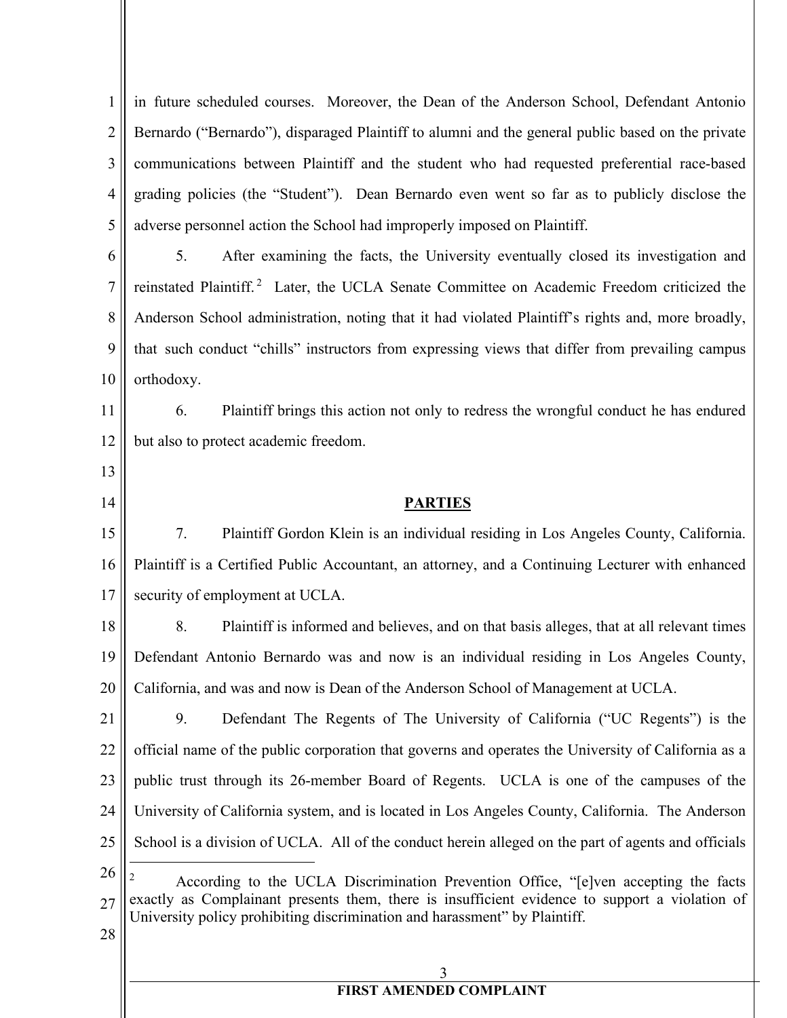1 2 3 4 5 in future scheduled courses. Moreover, the Dean of the Anderson School, Defendant Antonio Bernardo ("Bernardo"), disparaged Plaintiff to alumni and the general public based on the private communications between Plaintiff and the student who had requested preferential race-based grading policies (the "Student"). Dean Bernardo even went so far as to publicly disclose the adverse personnel action the School had improperly imposed on Plaintiff.

6 7 8 9 10 5. After examining the facts, the University eventually closed its investigation and reinstated Plaintiff.<sup>2</sup> Later, the UCLA Senate Committee on Academic Freedom criticized the Anderson School administration, noting that it had violated Plaintiff's rights and, more broadly, that such conduct "chills" instructors from expressing views that differ from prevailing campus orthodoxy.

11 12 6. Plaintiff brings this action not only to redress the wrongful conduct he has endured but also to protect academic freedom.

13 14

#### **PARTIES**

15 16 17 7. Plaintiff Gordon Klein is an individual residing in Los Angeles County, California. Plaintiff is a Certified Public Accountant, an attorney, and a Continuing Lecturer with enhanced security of employment at UCLA.

18 19 20 8. Plaintiff is informed and believes, and on that basis alleges, that at all relevant times Defendant Antonio Bernardo was and now is an individual residing in Los Angeles County, California, and was and now is Dean of the Anderson School of Management at UCLA.

21 22 23 24 25 26 9. Defendant The Regents of The University of California ("UC Regents") is the official name of the public corporation that governs and operates the University of California as a public trust through its 26-member Board of Regents. UCLA is one of the campuses of the University of California system, and is located in Los Angeles County, California. The Anderson School is a division of UCLA. All of the conduct herein alleged on the part of agents and officials

27 According to the UCLA Discrimination Prevention Office, "[e]ven accepting the facts exactly as Complainant presents them, there is insufficient evidence to support a violation of University policy prohibiting discrimination and harassment" by Plaintiff.

28

3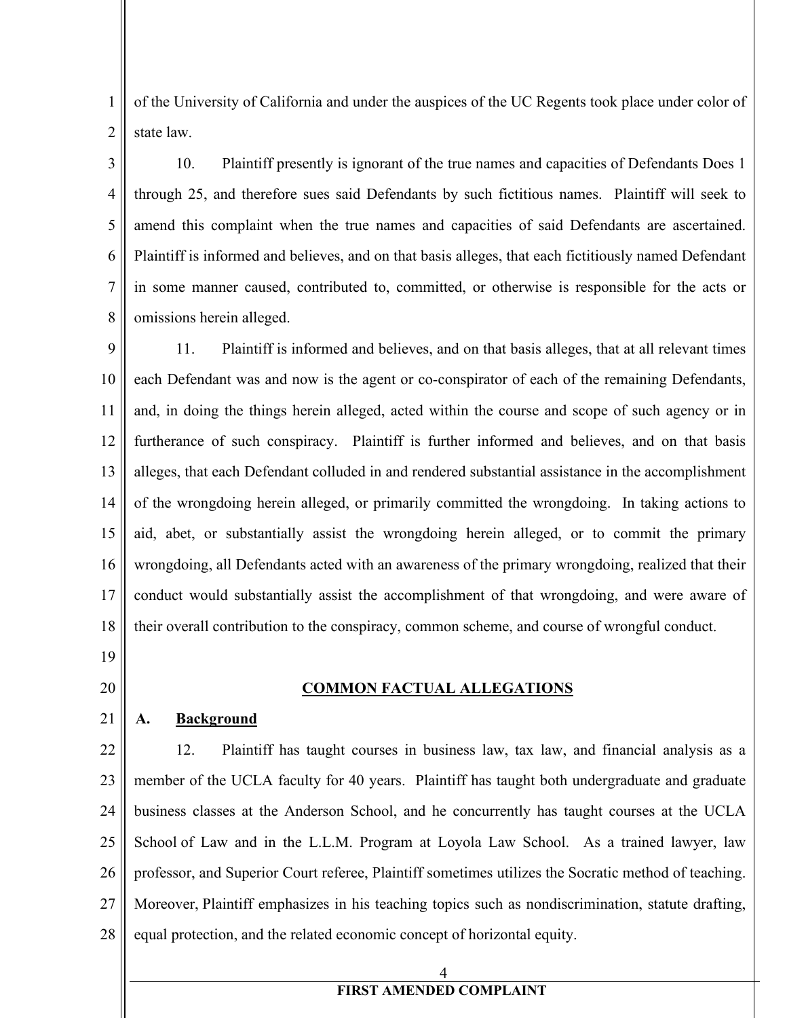1 2 of the University of California and under the auspices of the UC Regents took place under color of state law.

3 4 5 6 7 8 10. Plaintiff presently is ignorant of the true names and capacities of Defendants Does 1 through 25, and therefore sues said Defendants by such fictitious names. Plaintiff will seek to amend this complaint when the true names and capacities of said Defendants are ascertained. Plaintiff is informed and believes, and on that basis alleges, that each fictitiously named Defendant in some manner caused, contributed to, committed, or otherwise is responsible for the acts or omissions herein alleged.

9 10 11 12 13 14 15 16 17 18 11. Plaintiff is informed and believes, and on that basis alleges, that at all relevant times each Defendant was and now is the agent or co-conspirator of each of the remaining Defendants, and, in doing the things herein alleged, acted within the course and scope of such agency or in furtherance of such conspiracy. Plaintiff is further informed and believes, and on that basis alleges, that each Defendant colluded in and rendered substantial assistance in the accomplishment of the wrongdoing herein alleged, or primarily committed the wrongdoing. In taking actions to aid, abet, or substantially assist the wrongdoing herein alleged, or to commit the primary wrongdoing, all Defendants acted with an awareness of the primary wrongdoing, realized that their conduct would substantially assist the accomplishment of that wrongdoing, and were aware of their overall contribution to the conspiracy, common scheme, and course of wrongful conduct.

19

20

#### **COMMON FACTUAL ALLEGATIONS**

21

#### **A. Background**

22 23 24 25 26 27 28 12. Plaintiff has taught courses in business law, tax law, and financial analysis as a member of the UCLA faculty for 40 years. Plaintiff has taught both undergraduate and graduate business classes at the Anderson School, and he concurrently has taught courses at the UCLA School of Law and in the L.L.M. Program at Loyola Law School. As a trained lawyer, law professor, and Superior Court referee, Plaintiff sometimes utilizes the Socratic method of teaching. Moreover, Plaintiff emphasizes in his teaching topics such as nondiscrimination, statute drafting, equal protection, and the related economic concept of horizontal equity.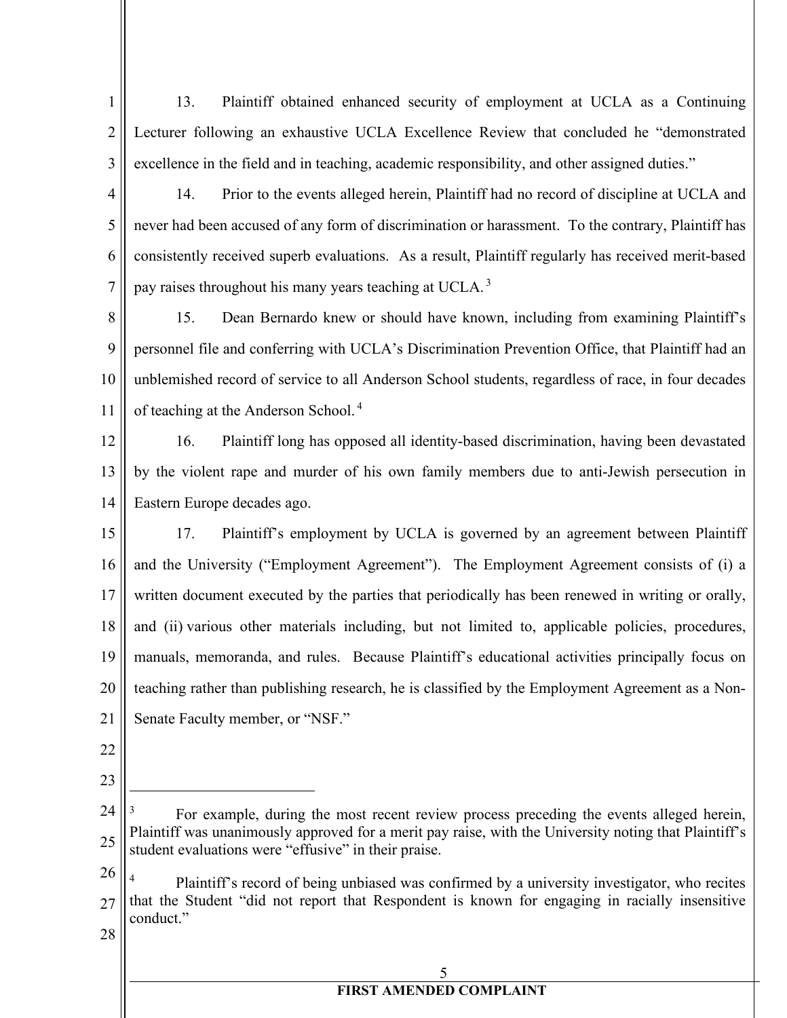- 1 2 3 13. Plaintiff obtained enhanced security of employment at UCLA as a Continuing Lecturer following an exhaustive UCLA Excellence Review that concluded he "demonstrated excellence in the field and in teaching, academic responsibility, and other assigned duties."
- 4

5

6

7

14. Prior to the events alleged herein, Plaintiff had no record of discipline at UCLA and never had been accused of any form of discrimination or harassment. To the contrary, Plaintiff has consistently received superb evaluations. As a result, Plaintiff regularly has received merit-based pay raises throughout his many years teaching at UCLA.<sup>3</sup>

8 9 10 11 15. Dean Bernardo knew or should have known, including from examining Plaintiff's personnel file and conferring with UCLA's Discrimination Prevention Office, that Plaintiff had an unblemished record of service to all Anderson School students, regardless of race, in four decades of teaching at the Anderson School. 4

12 13 14 16. Plaintiff long has opposed all identity-based discrimination, having been devastated by the violent rape and murder of his own family members due to anti-Jewish persecution in Eastern Europe decades ago.

15 16 17 18 19 20 21 17. Plaintiff's employment by UCLA is governed by an agreement between Plaintiff and the University ("Employment Agreement"). The Employment Agreement consists of (i) a written document executed by the parties that periodically has been renewed in writing or orally, and (ii) various other materials including, but not limited to, applicable policies, procedures, manuals, memoranda, and rules. Because Plaintiff's educational activities principally focus on teaching rather than publishing research, he is classified by the Employment Agreement as a Non-Senate Faculty member, or "NSF."

- 22
- 23

26

27 28 Plaintiff's record of being unbiased was confirmed by a university investigator, who recites that the Student "did not report that Respondent is known for engaging in racially insensitive conduct."

5

<sup>24</sup> 25 For example, during the most recent review process preceding the events alleged herein, Plaintiff was unanimously approved for a merit pay raise, with the University noting that Plaintiff's student evaluations were "effusive" in their praise.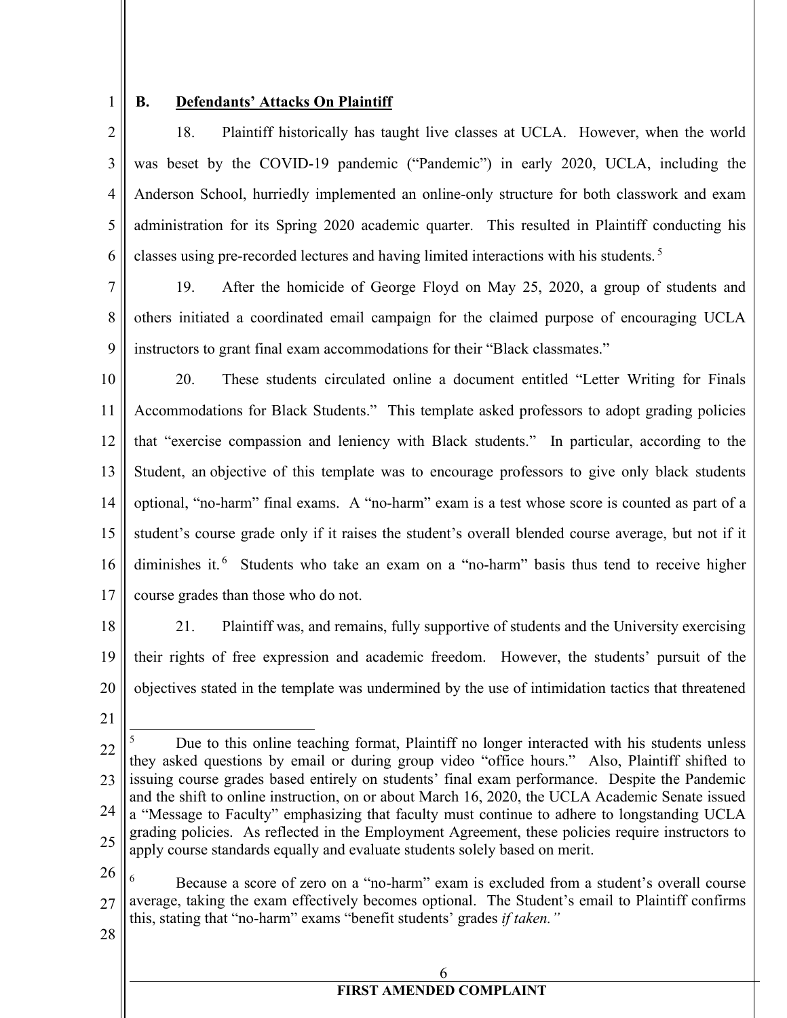## 1

#### **B. Defendants' Attacks On Plaintiff**

2 3 4 5 6 18. Plaintiff historically has taught live classes at UCLA. However, when the world was beset by the COVID-19 pandemic ("Pandemic") in early 2020, UCLA, including the Anderson School, hurriedly implemented an online-only structure for both classwork and exam administration for its Spring 2020 academic quarter. This resulted in Plaintiff conducting his classes using pre-recorded lectures and having limited interactions with his students. 5

7 8 9 19. After the homicide of George Floyd on May 25, 2020, a group of students and others initiated a coordinated email campaign for the claimed purpose of encouraging UCLA instructors to grant final exam accommodations for their "Black classmates."

10 11 12 13 14 15 16 17 20. These students circulated online a document entitled "Letter Writing for Finals Accommodations for Black Students." This template asked professors to adopt grading policies that "exercise compassion and leniency with Black students." In particular, according to the Student, an objective of this template was to encourage professors to give only black students optional, "no-harm" final exams. A "no-harm" exam is a test whose score is counted as part of a student's course grade only if it raises the student's overall blended course average, but not if it diminishes it.<sup>6</sup> Students who take an exam on a "no-harm" basis thus tend to receive higher course grades than those who do not.

- 18 19 20 21. Plaintiff was, and remains, fully supportive of students and the University exercising their rights of free expression and academic freedom. However, the students' pursuit of the objectives stated in the template was undermined by the use of intimidation tactics that threatened
- 21

26

27 <sup>6</sup> Because a score of zero on a "no-harm" exam is excluded from a student's overall course average, taking the exam effectively becomes optional. The Student's email to Plaintiff confirms this, stating that "no-harm" exams "benefit students' grades *if taken."*

28

<sup>22</sup> 23 24 25 <sup>5</sup> Due to this online teaching format, Plaintiff no longer interacted with his students unless they asked questions by email or during group video "office hours." Also, Plaintiff shifted to issuing course grades based entirely on students' final exam performance. Despite the Pandemic and the shift to online instruction, on or about March 16, 2020, the UCLA Academic Senate issued a "Message to Faculty" emphasizing that faculty must continue to adhere to longstanding UCLA grading policies. As reflected in the Employment Agreement, these policies require instructors to apply course standards equally and evaluate students solely based on merit.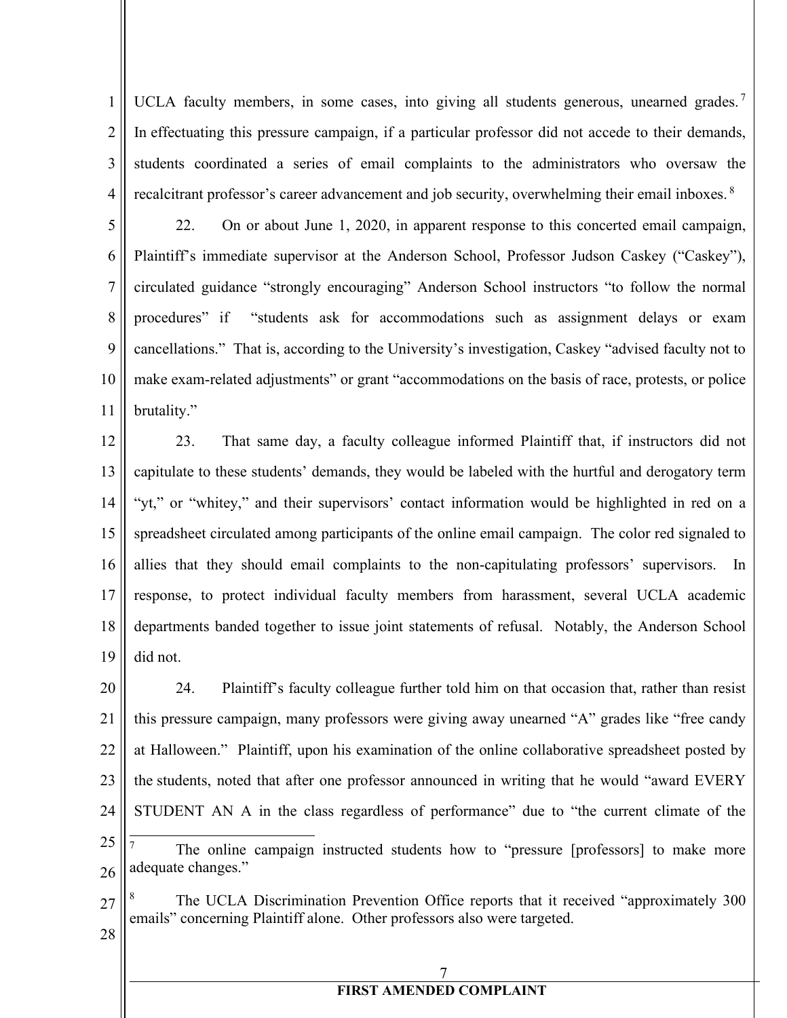1 2 3 4 UCLA faculty members, in some cases, into giving all students generous, unearned grades.<sup>7</sup> In effectuating this pressure campaign, if a particular professor did not accede to their demands, students coordinated a series of email complaints to the administrators who oversaw the recalcitrant professor's career advancement and job security, overwhelming their email inboxes.<sup>8</sup>

5 6 7 8 9 10 11 22. On or about June 1, 2020, in apparent response to this concerted email campaign, Plaintiff's immediate supervisor at the Anderson School, Professor Judson Caskey ("Caskey"), circulated guidance "strongly encouraging" Anderson School instructors "to follow the normal procedures" if "students ask for accommodations such as assignment delays or exam cancellations." That is, according to the University's investigation, Caskey "advised faculty not to make exam-related adjustments" or grant "accommodations on the basis of race, protests, or police brutality."

12 13 14 15 16 17 18 19 23. That same day, a faculty colleague informed Plaintiff that, if instructors did not capitulate to these students' demands, they would be labeled with the hurtful and derogatory term "yt," or "whitey," and their supervisors' contact information would be highlighted in red on a spreadsheet circulated among participants of the online email campaign. The color red signaled to allies that they should email complaints to the non-capitulating professors' supervisors. In response, to protect individual faculty members from harassment, several UCLA academic departments banded together to issue joint statements of refusal. Notably, the Anderson School did not.

20 21 22 23 24 25 26 24. Plaintiff's faculty colleague further told him on that occasion that, rather than resist this pressure campaign, many professors were giving away unearned "A" grades like "free candy at Halloween." Plaintiff, upon his examination of the online collaborative spreadsheet posted by the students, noted that after one professor announced in writing that he would "award EVERY STUDENT AN A in the class regardless of performance" due to "the current climate of the The online campaign instructed students how to "pressure [professors] to make more adequate changes."



28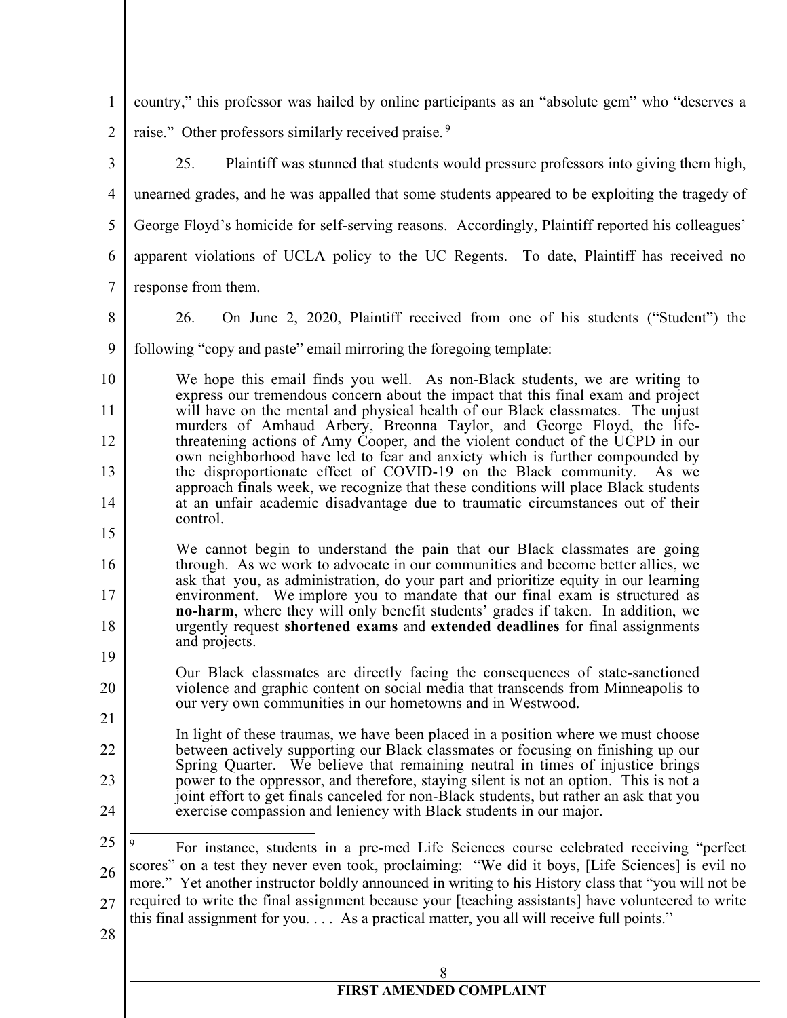| $\mathbf{1}$   | country," this professor was hailed by online participants as an "absolute gem" who "deserves a                                                                                                          |
|----------------|----------------------------------------------------------------------------------------------------------------------------------------------------------------------------------------------------------|
| $\overline{2}$ | raise." Other professors similarly received praise. <sup>9</sup>                                                                                                                                         |
| 3              | 25.<br>Plaintiff was stunned that students would pressure professors into giving them high,                                                                                                              |
| $\overline{4}$ | unearned grades, and he was appalled that some students appeared to be exploiting the tragedy of                                                                                                         |
| 5              | George Floyd's homicide for self-serving reasons. Accordingly, Plaintiff reported his colleagues'                                                                                                        |
| 6              | apparent violations of UCLA policy to the UC Regents. To date, Plaintiff has received no                                                                                                                 |
| $\tau$         | response from them.                                                                                                                                                                                      |
| 8              | On June 2, 2020, Plaintiff received from one of his students ("Student") the<br>26.                                                                                                                      |
| 9              | following "copy and paste" email mirroring the foregoing template:                                                                                                                                       |
| 10             | We hope this email finds you well. As non-Black students, we are writing to                                                                                                                              |
| 11             | express our tremendous concern about the impact that this final exam and project<br>will have on the mental and physical health of our Black classmates. The unjust                                      |
| 12             | murders of Amhaud Arbery, Breonna Taylor, and George Floyd, the life-<br>threatening actions of Amy Cooper, and the violent conduct of the UCPD in our                                                   |
| 13             | own neighborhood have led to fear and anxiety which is further compounded by<br>the disproportionate effect of COVID-19 on the Black community. As we                                                    |
| 14             | approach finals week, we recognize that these conditions will place Black students<br>at an unfair academic disadvantage due to traumatic circumstances out of their                                     |
| 15             | control.                                                                                                                                                                                                 |
| 16             | We cannot begin to understand the pain that our Black classmates are going<br>through. As we work to advocate in our communities and become better allies, we                                            |
| 17             | ask that you, as administration, do your part and prioritize equity in our learning<br>environment. We implore you to mandate that our final exam is structured as                                       |
| 18             | no-harm, where they will only benefit students' grades if taken. In addition, we<br>urgently request shortened exams and extended deadlines for final assignments                                        |
| 19             | and projects.                                                                                                                                                                                            |
| 20             | Our Black classmates are directly facing the consequences of state-sanctioned<br>violence and graphic content on social media that transcends from Minneapolis to                                        |
| 21             | our very own communities in our hometowns and in Westwood.                                                                                                                                               |
| 22             | In light of these traumas, we have been placed in a position where we must choose<br>between actively supporting our Black classmates or focusing on finishing up our                                    |
| 23             | Spring Quarter. We believe that remaining neutral in times of injustice brings<br>power to the oppressor, and therefore, staying silent is not an option. This is not a                                  |
| 24             | joint effort to get finals canceled for non-Black students, but rather an ask that you<br>exercise compassion and leniency with Black students in our major.                                             |
| 25             | For instance, students in a pre-med Life Sciences course celebrated receiving "perfect                                                                                                                   |
| 26             | scores" on a test they never even took, proclaiming: "We did it boys, [Life Sciences] is evil no<br>more." Yet another instructor boldly announced in writing to his History class that "you will not be |
| 27             | required to write the final assignment because your [teaching assistants] have volunteered to write                                                                                                      |
| 28             | this final assignment for you. As a practical matter, you all will receive full points."                                                                                                                 |
|                |                                                                                                                                                                                                          |
|                | <b>FIRST AMENDED COMPLAINT</b>                                                                                                                                                                           |
|                |                                                                                                                                                                                                          |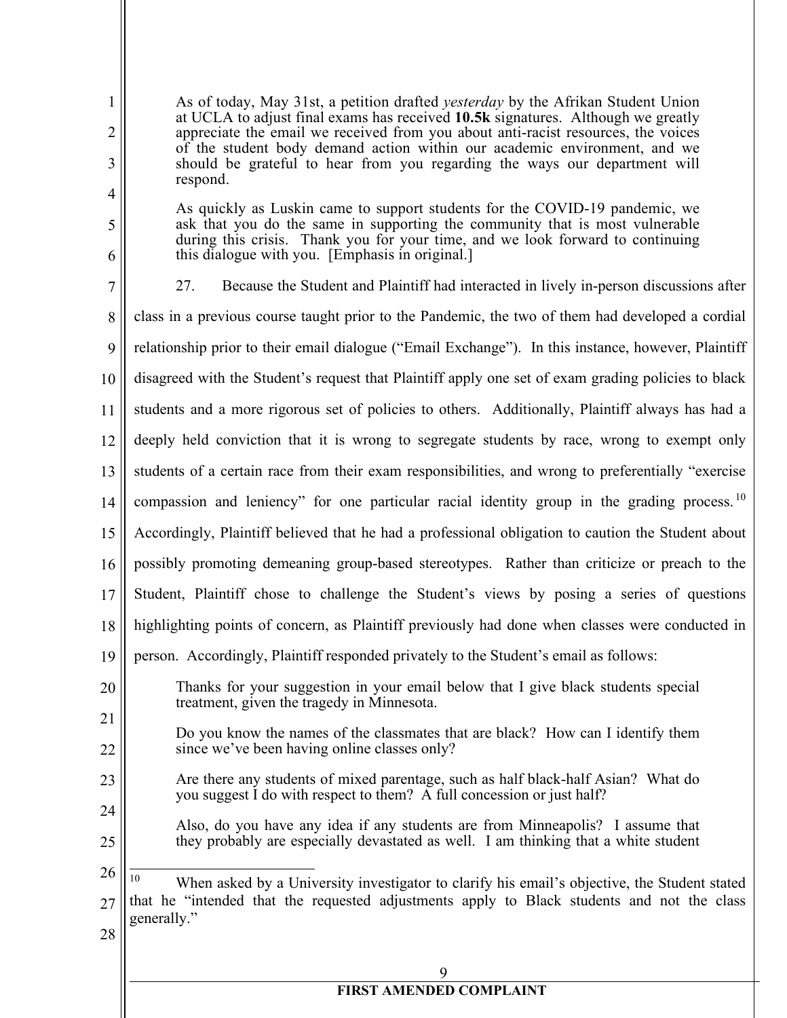| $\mathbf{1}$<br>$\overline{2}$<br>3 | As of today, May 31st, a petition drafted <i>yesterday</i> by the Afrikan Student Union<br>at UCLA to adjust final exams has received 10.5k signatures. Although we greatly<br>appreciate the email we received from you about anti-racist resources, the voices<br>of the student body demand action within our academic environment, and we<br>should be grateful to hear from you regarding the ways our department will<br>respond. |
|-------------------------------------|-----------------------------------------------------------------------------------------------------------------------------------------------------------------------------------------------------------------------------------------------------------------------------------------------------------------------------------------------------------------------------------------------------------------------------------------|
| 4<br>5                              | As quickly as Luskin came to support students for the COVID-19 pandemic, we<br>ask that you do the same in supporting the community that is most vulnerable                                                                                                                                                                                                                                                                             |
| 6                                   | during this crisis. Thank you for your time, and we look forward to continuing<br>this dialogue with you. [Emphasis in original.]                                                                                                                                                                                                                                                                                                       |
| $\overline{7}$                      | Because the Student and Plaintiff had interacted in lively in-person discussions after<br>27.                                                                                                                                                                                                                                                                                                                                           |
| 8                                   | class in a previous course taught prior to the Pandemic, the two of them had developed a cordial                                                                                                                                                                                                                                                                                                                                        |
| 9                                   | relationship prior to their email dialogue ("Email Exchange"). In this instance, however, Plaintiff                                                                                                                                                                                                                                                                                                                                     |
| 10                                  | disagreed with the Student's request that Plaintiff apply one set of exam grading policies to black                                                                                                                                                                                                                                                                                                                                     |
| 11                                  | students and a more rigorous set of policies to others. Additionally, Plaintiff always has had a                                                                                                                                                                                                                                                                                                                                        |
| 12                                  | deeply held conviction that it is wrong to segregate students by race, wrong to exempt only                                                                                                                                                                                                                                                                                                                                             |
| 13                                  | students of a certain race from their exam responsibilities, and wrong to preferentially "exercise                                                                                                                                                                                                                                                                                                                                      |
| 14                                  | compassion and leniency" for one particular racial identity group in the grading process. <sup>10</sup>                                                                                                                                                                                                                                                                                                                                 |
| 15                                  | Accordingly, Plaintiff believed that he had a professional obligation to caution the Student about                                                                                                                                                                                                                                                                                                                                      |
| 16                                  | possibly promoting demeaning group-based stereotypes. Rather than criticize or preach to the                                                                                                                                                                                                                                                                                                                                            |
| 17                                  | Student, Plaintiff chose to challenge the Student's views by posing a series of questions                                                                                                                                                                                                                                                                                                                                               |
| 18                                  | highlighting points of concern, as Plaintiff previously had done when classes were conducted in                                                                                                                                                                                                                                                                                                                                         |
| 19                                  | person. Accordingly, Plaintiff responded privately to the Student's email as follows:                                                                                                                                                                                                                                                                                                                                                   |
| 20                                  | Thanks for your suggestion in your email below that I give black students special<br>treatment, given the tragedy in Minnesota.                                                                                                                                                                                                                                                                                                         |
| 21<br>22                            | Do you know the names of the classmates that are black? How can I identify them<br>since we've been having online classes only?                                                                                                                                                                                                                                                                                                         |
| 23                                  | Are there any students of mixed parentage, such as half black-half Asian? What do<br>you suggest I do with respect to them? A full concession or just half?                                                                                                                                                                                                                                                                             |
| 24<br>25                            | Also, do you have any idea if any students are from Minneapolis? I assume that<br>they probably are especially devastated as well. I am thinking that a white student                                                                                                                                                                                                                                                                   |
| 26<br>27<br>28                      | 10<br>When asked by a University investigator to clarify his email's objective, the Student stated<br>that he "intended that the requested adjustments apply to Black students and not the class<br>generally."                                                                                                                                                                                                                         |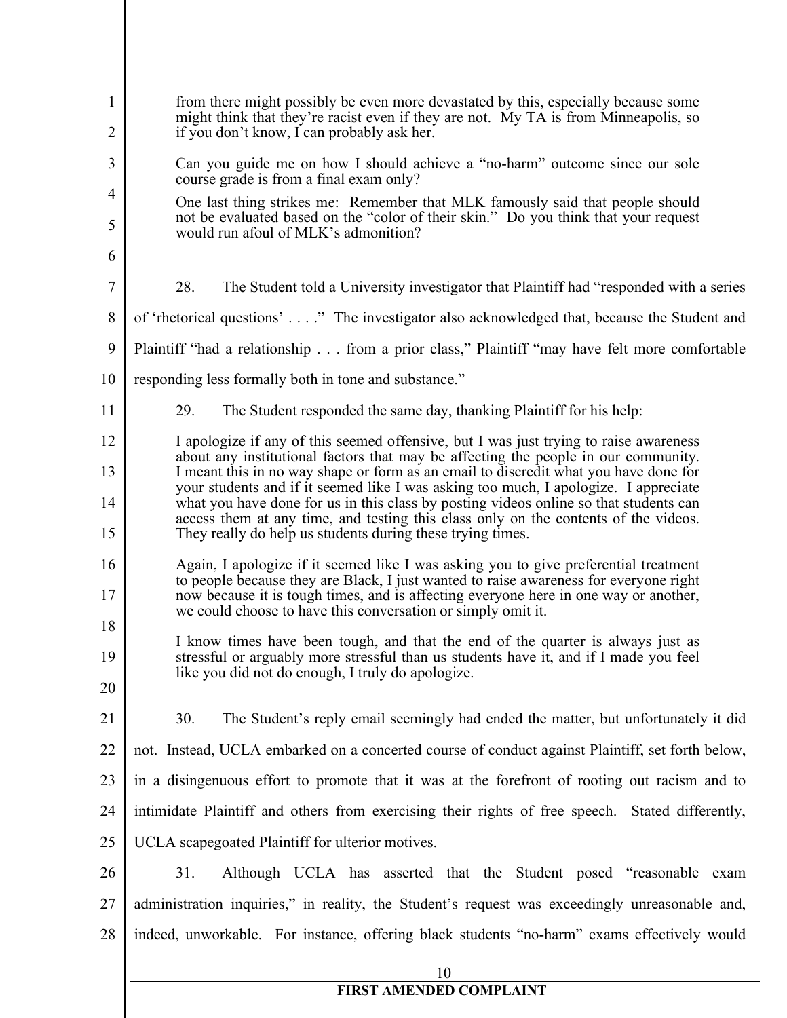| $\mathbf{1}$<br>2   | from there might possibly be even more devastated by this, especially because some<br>might think that they're racist even if they are not. My TA is from Minneapolis, so<br>if you don't know, I can probably ask her.                                                                                                               |
|---------------------|---------------------------------------------------------------------------------------------------------------------------------------------------------------------------------------------------------------------------------------------------------------------------------------------------------------------------------------|
| 3                   | Can you guide me on how I should achieve a "no-harm" outcome since our sole<br>course grade is from a final exam only?                                                                                                                                                                                                                |
| $\overline{4}$<br>5 | One last thing strikes me: Remember that MLK famously said that people should<br>not be evaluated based on the "color of their skin." Do you think that your request                                                                                                                                                                  |
| 6                   | would run afoul of MLK's admonition?                                                                                                                                                                                                                                                                                                  |
| $\tau$              | 28.<br>The Student told a University investigator that Plaintiff had "responded with a series"                                                                                                                                                                                                                                        |
| $8\phantom{.}$      | of 'rhetorical questions'" The investigator also acknowledged that, because the Student and                                                                                                                                                                                                                                           |
| 9                   | Plaintiff "had a relationship from a prior class," Plaintiff "may have felt more comfortable                                                                                                                                                                                                                                          |
| 10                  | responding less formally both in tone and substance."                                                                                                                                                                                                                                                                                 |
| 11                  | 29.<br>The Student responded the same day, thanking Plaintiff for his help:                                                                                                                                                                                                                                                           |
| 12                  | I apologize if any of this seemed offensive, but I was just trying to raise awareness<br>about any institutional factors that may be affecting the people in our community.                                                                                                                                                           |
| 13                  | I meant this in no way shape or form as an email to discredit what you have done for<br>your students and if it seemed like I was asking too much, I apologize. I appreciate                                                                                                                                                          |
| 14<br>15            | what you have done for us in this class by posting videos online so that students can<br>access them at any time, and testing this class only on the contents of the videos.<br>They really do help us students during these trying times.                                                                                            |
| 16<br>17<br>18      | Again, I apologize if it seemed like I was asking you to give preferential treatment<br>to people because they are Black, I just wanted to raise awareness for everyone right<br>now because it is tough times, and is affecting everyone here in one way or another,<br>we could choose to have this conversation or simply omit it. |
| 19<br>20            | I know times have been tough, and that the end of the quarter is always just as<br>stressful or arguably more stressful than us students have it, and if I made you feel<br>like you did not do enough, I truly do apologize.                                                                                                         |
| 21                  | 30.<br>The Student's reply email seemingly had ended the matter, but unfortunately it did                                                                                                                                                                                                                                             |
| 22                  | not. Instead, UCLA embarked on a concerted course of conduct against Plaintiff, set forth below,                                                                                                                                                                                                                                      |
| 23                  | in a disingenuous effort to promote that it was at the forefront of rooting out racism and to                                                                                                                                                                                                                                         |
| 24                  | intimidate Plaintiff and others from exercising their rights of free speech. Stated differently,                                                                                                                                                                                                                                      |
| 25                  | UCLA scapegoated Plaintiff for ulterior motives.                                                                                                                                                                                                                                                                                      |
| 26                  | 31.<br>Although UCLA has asserted that the Student posed "reasonable exam                                                                                                                                                                                                                                                             |
| 27                  | administration inquiries," in reality, the Student's request was exceedingly unreasonable and,                                                                                                                                                                                                                                        |
| 28                  | indeed, unworkable. For instance, offering black students "no-harm" exams effectively would                                                                                                                                                                                                                                           |
|                     | 10                                                                                                                                                                                                                                                                                                                                    |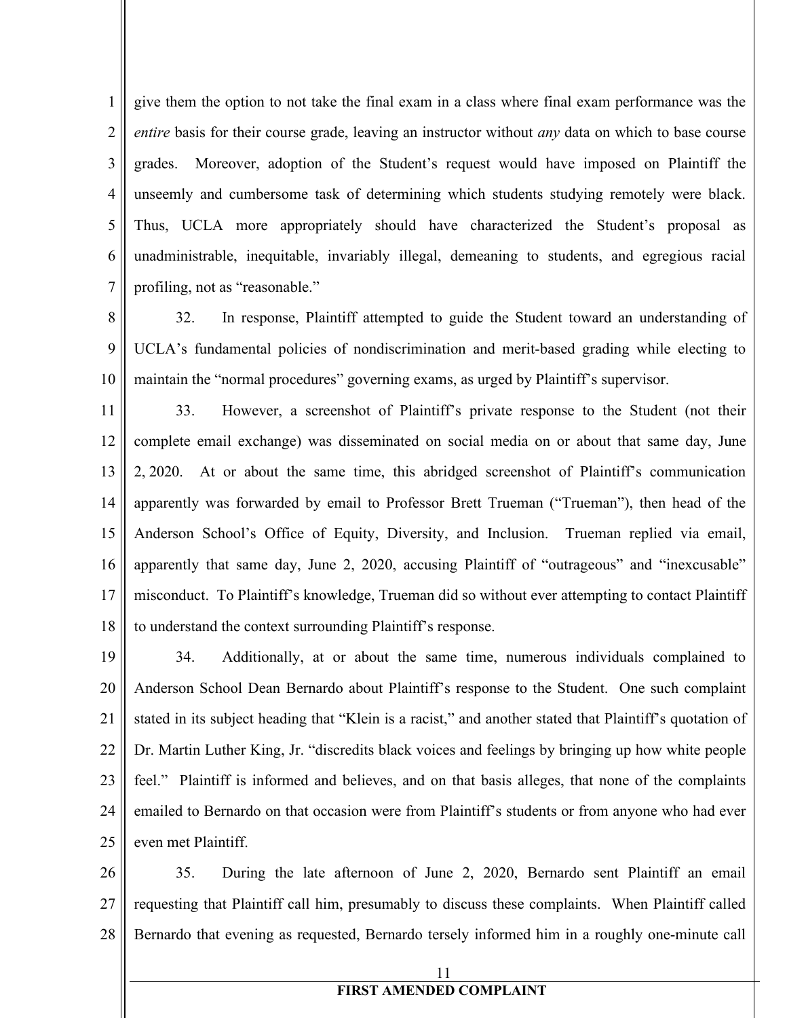1 2 3 4 5 6 7 give them the option to not take the final exam in a class where final exam performance was the *entire* basis for their course grade, leaving an instructor without *any* data on which to base course grades. Moreover, adoption of the Student's request would have imposed on Plaintiff the unseemly and cumbersome task of determining which students studying remotely were black. Thus, UCLA more appropriately should have characterized the Student's proposal as unadministrable, inequitable, invariably illegal, demeaning to students, and egregious racial profiling, not as "reasonable."

8 9 10 32. In response, Plaintiff attempted to guide the Student toward an understanding of UCLA's fundamental policies of nondiscrimination and merit-based grading while electing to maintain the "normal procedures" governing exams, as urged by Plaintiff's supervisor.

11 12 13 14 15 16 17 18 33. However, a screenshot of Plaintiff's private response to the Student (not their complete email exchange) was disseminated on social media on or about that same day, June 2, 2020. At or about the same time, this abridged screenshot of Plaintiff's communication apparently was forwarded by email to Professor Brett Trueman ("Trueman"), then head of the Anderson School's Office of Equity, Diversity, and Inclusion. Trueman replied via email, apparently that same day, June 2, 2020, accusing Plaintiff of "outrageous" and "inexcusable" misconduct. To Plaintiff's knowledge, Trueman did so without ever attempting to contact Plaintiff to understand the context surrounding Plaintiff's response.

19 20 21 22 23 24 25 34. Additionally, at or about the same time, numerous individuals complained to Anderson School Dean Bernardo about Plaintiff's response to the Student. One such complaint stated in its subject heading that "Klein is a racist," and another stated that Plaintiff's quotation of Dr. Martin Luther King, Jr. "discredits black voices and feelings by bringing up how white people feel." Plaintiff is informed and believes, and on that basis alleges, that none of the complaints emailed to Bernardo on that occasion were from Plaintiff's students or from anyone who had ever even met Plaintiff.

26 27 28 35. During the late afternoon of June 2, 2020, Bernardo sent Plaintiff an email requesting that Plaintiff call him, presumably to discuss these complaints. When Plaintiff called Bernardo that evening as requested, Bernardo tersely informed him in a roughly one-minute call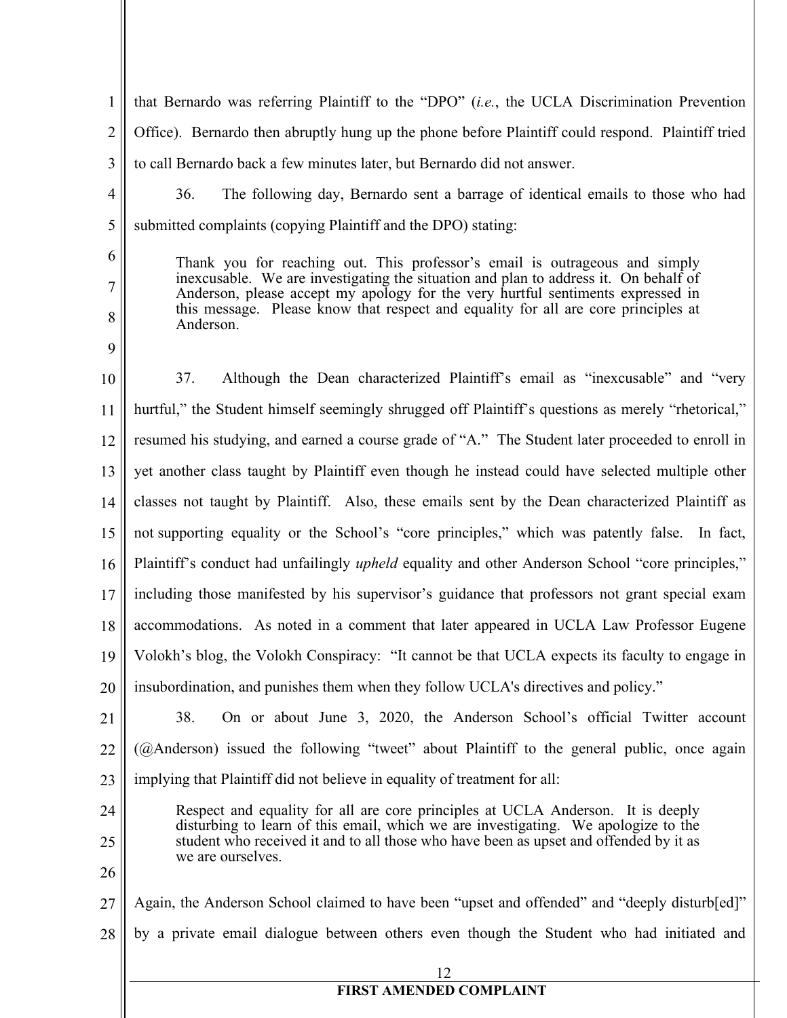1 2 3 that Bernardo was referring Plaintiff to the "DPO" (*i.e.*, the UCLA Discrimination Prevention Office). Bernardo then abruptly hung up the phone before Plaintiff could respond. Plaintiff tried to call Bernardo back a few minutes later, but Bernardo did not answer.

4 5

- 36. The following day, Bernardo sent a barrage of identical emails to those who had submitted complaints (copying Plaintiff and the DPO) stating:
- 6
- 7

8

9

Thank you for reaching out. This professor's email is outrageous and simply inexcusable. We are investigating the situation and plan to address it. On behalf of Anderson, please accept my apology for the very hurtful sentiments expressed in this message. Please know that respect and equality for all are core principles at Anderson.

10 11 12 13 14 15 16 17 18 19 20 37. Although the Dean characterized Plaintiff's email as "inexcusable" and "very hurtful," the Student himself seemingly shrugged off Plaintiff's questions as merely "rhetorical," resumed his studying, and earned a course grade of "A." The Student later proceeded to enroll in yet another class taught by Plaintiff even though he instead could have selected multiple other classes not taught by Plaintiff. Also, these emails sent by the Dean characterized Plaintiff as not supporting equality or the School's "core principles," which was patently false. In fact, Plaintiff's conduct had unfailingly *upheld* equality and other Anderson School "core principles," including those manifested by his supervisor's guidance that professors not grant special exam accommodations. As noted in a comment that later appeared in UCLA Law Professor Eugene Volokh's blog, the Volokh Conspiracy: "It cannot be that UCLA expects its faculty to engage in insubordination, and punishes them when they follow UCLA's directives and policy."

- 21 22 23 38. On or about June 3, 2020, the Anderson School's official Twitter account (@Anderson) issued the following "tweet" about Plaintiff to the general public, once again implying that Plaintiff did not believe in equality of treatment for all:
	- Respect and equality for all are core principles at UCLA Anderson. It is deeply disturbing to learn of this email, which we are investigating. We apologize to the student who received it and to all those who have been as upset and offended by it as we are ourselves.
- 26

24

25

27 28 Again, the Anderson School claimed to have been "upset and offended" and "deeply disturb[ed]" by a private email dialogue between others even though the Student who had initiated and

12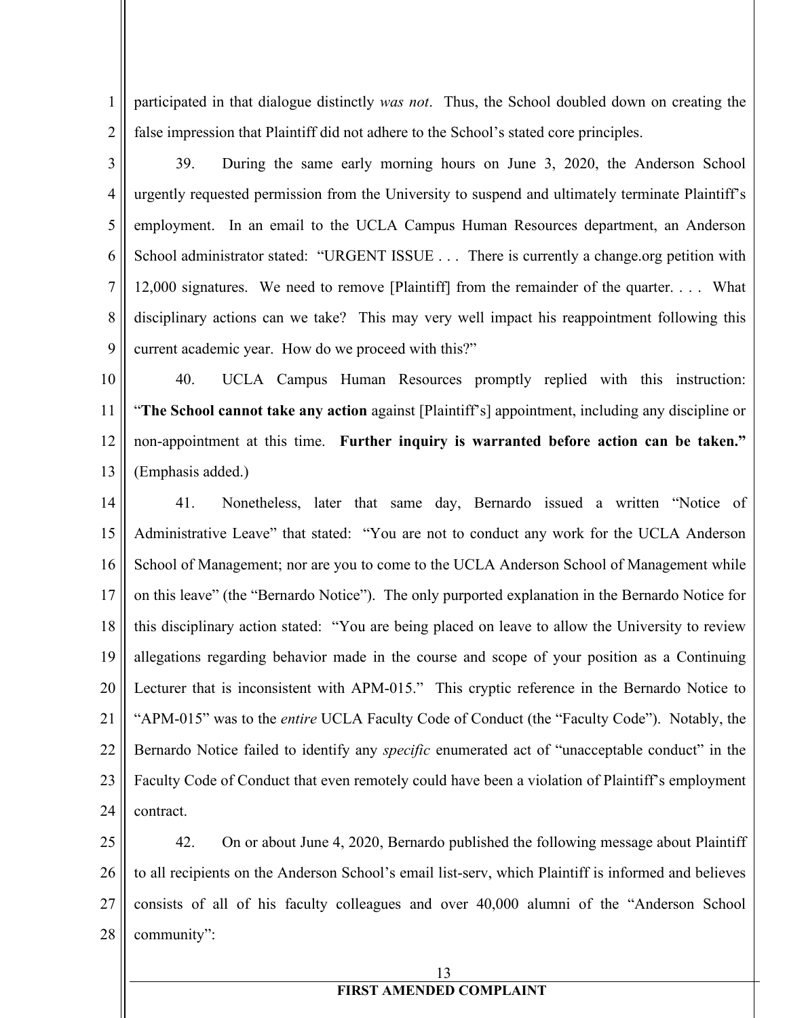1 2 participated in that dialogue distinctly *was not*. Thus, the School doubled down on creating the false impression that Plaintiff did not adhere to the School's stated core principles.

3 4 5 6 7 8 9 39. During the same early morning hours on June 3, 2020, the Anderson School urgently requested permission from the University to suspend and ultimately terminate Plaintiff's employment. In an email to the UCLA Campus Human Resources department, an Anderson School administrator stated: "URGENT ISSUE . . . There is currently a change.org petition with 12,000 signatures. We need to remove [Plaintiff] from the remainder of the quarter. . . . What disciplinary actions can we take? This may very well impact his reappointment following this current academic year. How do we proceed with this?"

10 11 12 13 40. UCLA Campus Human Resources promptly replied with this instruction: "**The School cannot take any action** against [Plaintiff's] appointment, including any discipline or non-appointment at this time. **Further inquiry is warranted before action can be taken."** (Emphasis added.)

14 15 16 17 18 19 20 21 22 23 24 41. Nonetheless, later that same day, Bernardo issued a written "Notice of Administrative Leave" that stated: "You are not to conduct any work for the UCLA Anderson School of Management; nor are you to come to the UCLA Anderson School of Management while on this leave" (the "Bernardo Notice"). The only purported explanation in the Bernardo Notice for this disciplinary action stated: "You are being placed on leave to allow the University to review allegations regarding behavior made in the course and scope of your position as a Continuing Lecturer that is inconsistent with APM-015." This cryptic reference in the Bernardo Notice to "APM-015" was to the *entire* UCLA Faculty Code of Conduct (the "Faculty Code"). Notably, the Bernardo Notice failed to identify any *specific* enumerated act of "unacceptable conduct" in the Faculty Code of Conduct that even remotely could have been a violation of Plaintiff's employment contract.

25 26 27 28 42. On or about June 4, 2020, Bernardo published the following message about Plaintiff to all recipients on the Anderson School's email list-serv, which Plaintiff is informed and believes consists of all of his faculty colleagues and over 40,000 alumni of the "Anderson School community":

## 13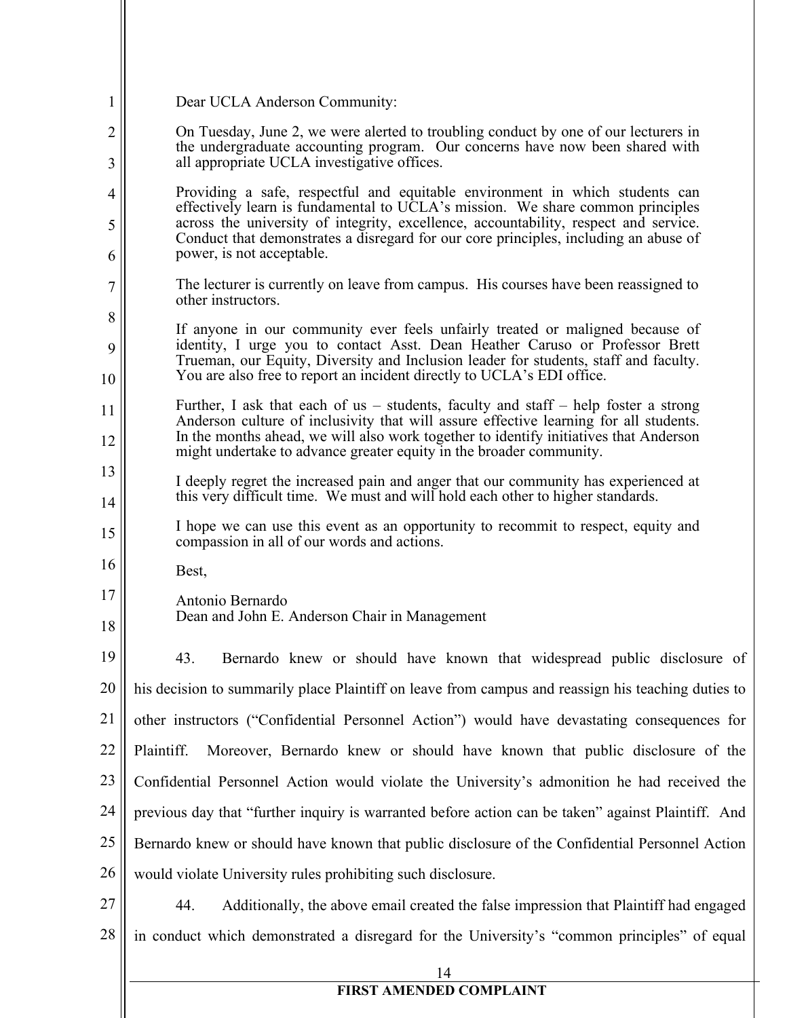| $\mathbf 1$    | Dear UCLA Anderson Community:                                                                                                                                                                                                                                  |
|----------------|----------------------------------------------------------------------------------------------------------------------------------------------------------------------------------------------------------------------------------------------------------------|
| 2<br>3         | On Tuesday, June 2, we were alerted to troubling conduct by one of our lecturers in<br>the undergraduate accounting program. Our concerns have now been shared with<br>all appropriate UCLA investigative offices.                                             |
| $\overline{4}$ | Providing a safe, respectful and equitable environment in which students can                                                                                                                                                                                   |
| 5              | effectively learn is fundamental to UCLA's mission. We share common principles<br>across the university of integrity, excellence, accountability, respect and service.<br>Conduct that demonstrates a disregard for our core principles, including an abuse of |
| 6              | power, is not acceptable.                                                                                                                                                                                                                                      |
| 7              | The lecturer is currently on leave from campus. His courses have been reassigned to<br>other instructors.                                                                                                                                                      |
| 8              | If anyone in our community ever feels unfairly treated or maligned because of                                                                                                                                                                                  |
| 9              | identity, I urge you to contact Asst. Dean Heather Caruso or Professor Brett<br>Trueman, our Equity, Diversity and Inclusion leader for students, staff and faculty.                                                                                           |
| 10             | You are also free to report an incident directly to UCLA's EDI office.                                                                                                                                                                                         |
| 11             | Further, I ask that each of us – students, faculty and staff – help foster a strong<br>Anderson culture of inclusivity that will assure effective learning for all students.                                                                                   |
| 12             | In the months ahead, we will also work together to identify initiatives that Anderson<br>might undertake to advance greater equity in the broader community.                                                                                                   |
| 13             | I deeply regret the increased pain and anger that our community has experienced at                                                                                                                                                                             |
| 14             | this very difficult time. We must and will hold each other to higher standards.                                                                                                                                                                                |
| 15             | I hope we can use this event as an opportunity to recommit to respect, equity and<br>compassion in all of our words and actions.                                                                                                                               |
| 16             | Best,                                                                                                                                                                                                                                                          |
| 17<br>18       | Antonio Bernardo<br>Dean and John E. Anderson Chair in Management                                                                                                                                                                                              |
| 19             | Bernardo knew or should have known that widespread public disclosure of<br>43.                                                                                                                                                                                 |
| 20             | his decision to summarily place Plaintiff on leave from campus and reassign his teaching duties to                                                                                                                                                             |
| 21             | other instructors ("Confidential Personnel Action") would have devastating consequences for                                                                                                                                                                    |
| 22             | Plaintiff.<br>Moreover, Bernardo knew or should have known that public disclosure of the                                                                                                                                                                       |
| 23             | Confidential Personnel Action would violate the University's admonition he had received the                                                                                                                                                                    |
| 24             | previous day that "further inquiry is warranted before action can be taken" against Plaintiff. And                                                                                                                                                             |
| 25             | Bernardo knew or should have known that public disclosure of the Confidential Personnel Action                                                                                                                                                                 |
| 26             | would violate University rules prohibiting such disclosure.                                                                                                                                                                                                    |
| 27             | Additionally, the above email created the false impression that Plaintiff had engaged<br>44.                                                                                                                                                                   |
| 28             | in conduct which demonstrated a disregard for the University's "common principles" of equal                                                                                                                                                                    |
|                | 14                                                                                                                                                                                                                                                             |
|                | FIRST AMENDED COMPLAINT                                                                                                                                                                                                                                        |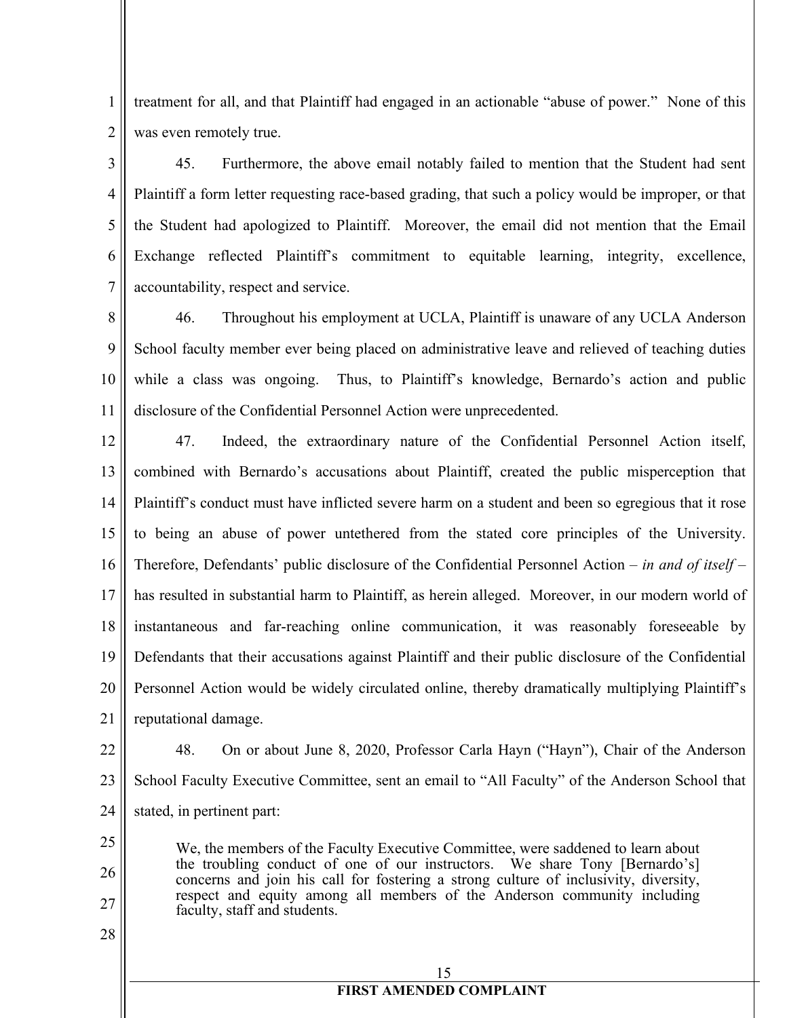1 2 treatment for all, and that Plaintiff had engaged in an actionable "abuse of power." None of this was even remotely true.

3 4 5 6 7 45. Furthermore, the above email notably failed to mention that the Student had sent Plaintiff a form letter requesting race-based grading, that such a policy would be improper, or that the Student had apologized to Plaintiff. Moreover, the email did not mention that the Email Exchange reflected Plaintiff's commitment to equitable learning, integrity, excellence, accountability, respect and service.

8 9 10 11 46. Throughout his employment at UCLA, Plaintiff is unaware of any UCLA Anderson School faculty member ever being placed on administrative leave and relieved of teaching duties while a class was ongoing. Thus, to Plaintiff's knowledge, Bernardo's action and public disclosure of the Confidential Personnel Action were unprecedented.

12 13 14 15 16 17 18 19 20 21 47. Indeed, the extraordinary nature of the Confidential Personnel Action itself, combined with Bernardo's accusations about Plaintiff, created the public misperception that Plaintiff's conduct must have inflicted severe harm on a student and been so egregious that it rose to being an abuse of power untethered from the stated core principles of the University. Therefore, Defendants' public disclosure of the Confidential Personnel Action – *in and of itself* – has resulted in substantial harm to Plaintiff, as herein alleged. Moreover, in our modern world of instantaneous and far-reaching online communication, it was reasonably foreseeable by Defendants that their accusations against Plaintiff and their public disclosure of the Confidential Personnel Action would be widely circulated online, thereby dramatically multiplying Plaintiff's reputational damage.

22 23 24 48. On or about June 8, 2020, Professor Carla Hayn ("Hayn"), Chair of the Anderson School Faculty Executive Committee, sent an email to "All Faculty" of the Anderson School that stated, in pertinent part:

We, the members of the Faculty Executive Committee, were saddened to learn about the troubling conduct of one of our instructors. We share Tony [Bernardo's] concerns and join his call for fostering a strong culture of inclusivity, diversity, respect and equity among all members of the Anderson community including faculty, staff and students.

28

25

26

27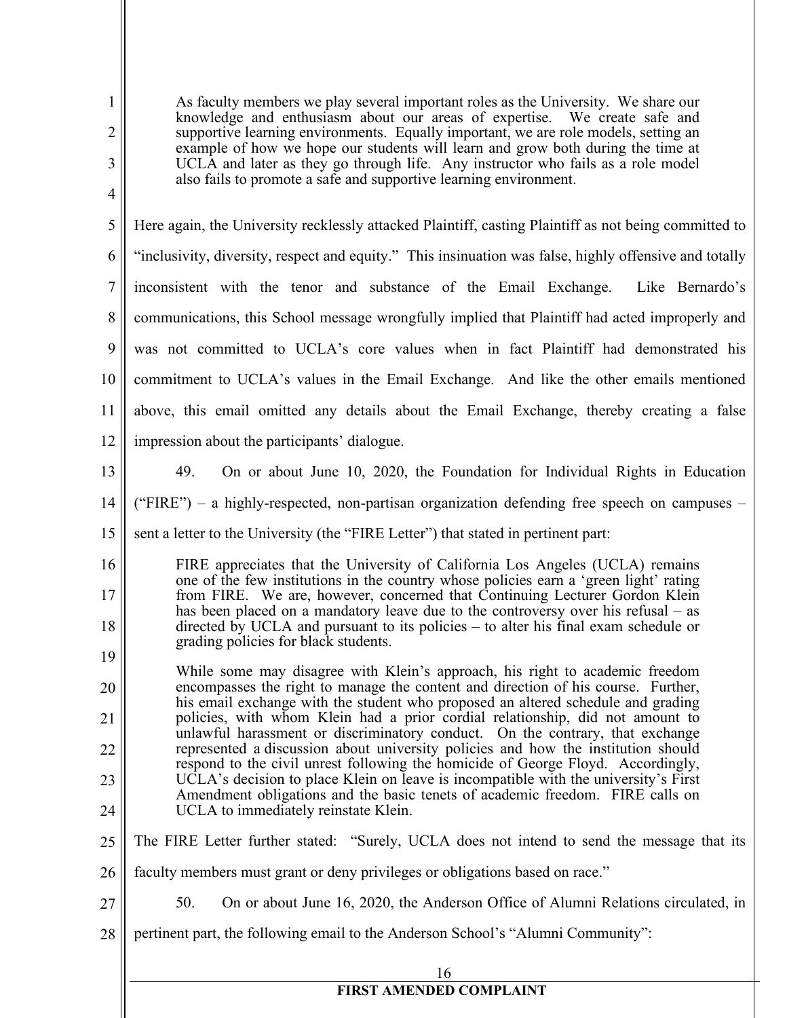| 1<br>$\overline{2}$ | As faculty members we play several important roles as the University. We share our<br>knowledge and enthusiasm about our areas of expertise. We create safe and<br>supportive learning environments. Equally important, we are role models, setting an<br>example of how we hope our students will learn and grow both during the time at |
|---------------------|-------------------------------------------------------------------------------------------------------------------------------------------------------------------------------------------------------------------------------------------------------------------------------------------------------------------------------------------|
| 3                   | UCLA and later as they go through life. Any instructor who fails as a role model<br>also fails to promote a safe and supportive learning environment.                                                                                                                                                                                     |
| $\overline{4}$      |                                                                                                                                                                                                                                                                                                                                           |
| 5                   | Here again, the University recklessly attacked Plaintiff, casting Plaintiff as not being committed to                                                                                                                                                                                                                                     |
| 6                   | "inclusivity, diversity, respect and equity." This insinuation was false, highly offensive and totally                                                                                                                                                                                                                                    |
| 7                   | inconsistent with the tenor and substance of the Email Exchange.<br>Like Bernardo's                                                                                                                                                                                                                                                       |
| 8                   | communications, this School message wrongfully implied that Plaintiff had acted improperly and                                                                                                                                                                                                                                            |
| 9                   | was not committed to UCLA's core values when in fact Plaintiff had demonstrated his                                                                                                                                                                                                                                                       |
| 10                  | commitment to UCLA's values in the Email Exchange. And like the other emails mentioned                                                                                                                                                                                                                                                    |
| 11                  | above, this email omitted any details about the Email Exchange, thereby creating a false                                                                                                                                                                                                                                                  |
| 12                  | impression about the participants' dialogue.                                                                                                                                                                                                                                                                                              |
| 13                  | 49.<br>On or about June 10, 2020, the Foundation for Individual Rights in Education                                                                                                                                                                                                                                                       |
| 14                  | ("FIRE") – a highly-respected, non-partisan organization defending free speech on campuses –                                                                                                                                                                                                                                              |
| 15                  | sent a letter to the University (the "FIRE Letter") that stated in pertinent part:                                                                                                                                                                                                                                                        |
| 16                  | FIRE appreciates that the University of California Los Angeles (UCLA) remains<br>one of the few institutions in the country whose policies earn a 'green light' rating                                                                                                                                                                    |
| 17<br>18            | from FIRE. We are, however, concerned that Continuing Lecturer Gordon Klein<br>has been placed on a mandatory leave due to the controversy over his refusal – as                                                                                                                                                                          |
| 19                  | directed by UCLA and pursuant to its policies - to alter his final exam schedule or<br>grading policies for black students.                                                                                                                                                                                                               |
| 20                  | While some may disagree with Klein's approach, his right to academic freedom<br>encompasses the right to manage the content and direction of his course. Further,                                                                                                                                                                         |
| 21                  | his email exchange with the student who proposed an altered schedule and grading<br>policies, with whom Klein had a prior cordial relationship, did not amount to                                                                                                                                                                         |
| 22                  | unlawful harassment or discriminatory conduct. On the contrary, that exchange<br>represented a discussion about university policies and how the institution should                                                                                                                                                                        |
| 23                  | respond to the civil unrest following the homicide of George Floyd. Accordingly,<br>UCLA's decision to place Klein on leave is incompatible with the university's First                                                                                                                                                                   |
| 24                  | Amendment obligations and the basic tenets of academic freedom. FIRE calls on<br>UCLA to immediately reinstate Klein.                                                                                                                                                                                                                     |
| 25                  | The FIRE Letter further stated: "Surely, UCLA does not intend to send the message that its                                                                                                                                                                                                                                                |
| 26                  | faculty members must grant or deny privileges or obligations based on race."                                                                                                                                                                                                                                                              |
| 27                  | 50.<br>On or about June 16, 2020, the Anderson Office of Alumni Relations circulated, in                                                                                                                                                                                                                                                  |
| 28                  | pertinent part, the following email to the Anderson School's "Alumni Community":                                                                                                                                                                                                                                                          |
|                     |                                                                                                                                                                                                                                                                                                                                           |
|                     | 16<br><b>FIRST AMENDED COMPLAINT</b>                                                                                                                                                                                                                                                                                                      |
|                     |                                                                                                                                                                                                                                                                                                                                           |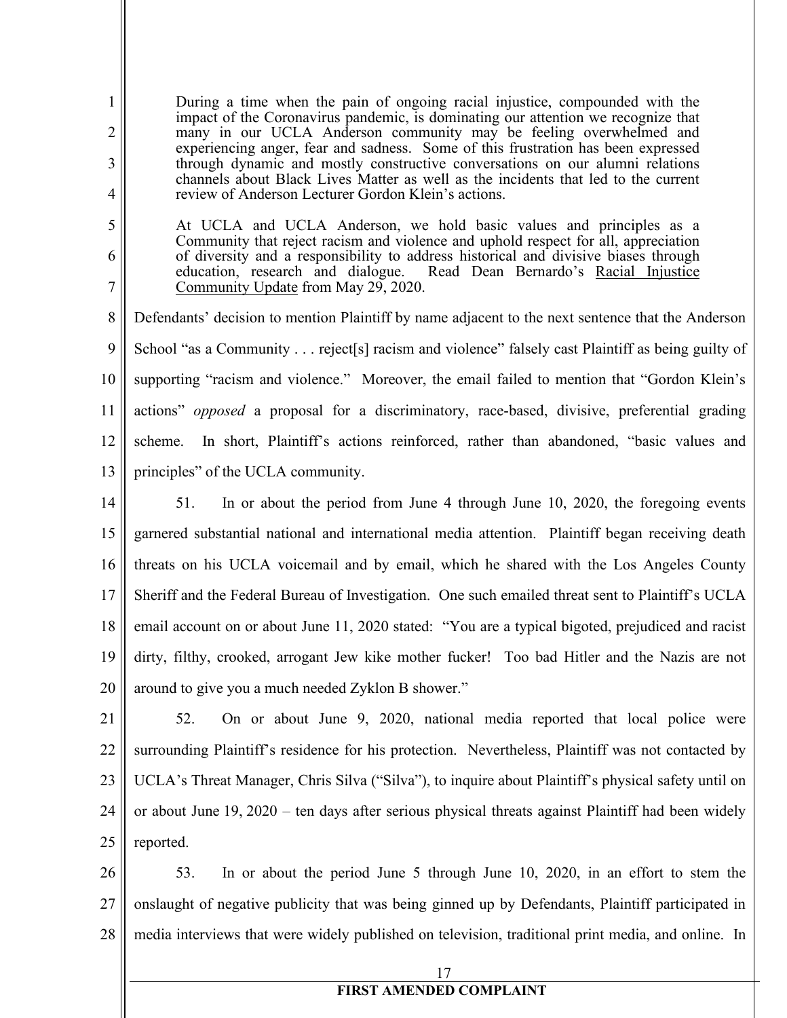During a time when the pain of ongoing racial injustice, compounded with the impact of the Coronavirus pandemic, is dominating our attention we recognize that many in our UCLA Anderson community may be feeling overwhelmed and experiencing anger, fear and sadness. Some of this frustration has been expressed through dynamic and mostly constructive conversations on our alumni relations channels about Black Lives Matter as well as the incidents that led to the current review of Anderson Lecturer Gordon Klein's actions.

1

2

3

4

5

6

7

At UCLA and UCLA Anderson, we hold basic values and principles as a Community that reject racism and violence and uphold respect for all, appreciation of diversity and a responsibility to address historical and divisive biases through education, research and dialogue. Read Dean Bernardo's Racial Injustice Community Update from May 29, 2020.

8 9 10 11 12 13 Defendants' decision to mention Plaintiff by name adjacent to the next sentence that the Anderson School "as a Community . . . reject[s] racism and violence" falsely cast Plaintiff as being guilty of supporting "racism and violence." Moreover, the email failed to mention that "Gordon Klein's actions" *opposed* a proposal for a discriminatory, race-based, divisive, preferential grading scheme. In short, Plaintiff's actions reinforced, rather than abandoned, "basic values and principles" of the UCLA community.

14 15 16 17 18 19 20 51. In or about the period from June 4 through June 10, 2020, the foregoing events garnered substantial national and international media attention. Plaintiff began receiving death threats on his UCLA voicemail and by email, which he shared with the Los Angeles County Sheriff and the Federal Bureau of Investigation. One such emailed threat sent to Plaintiff's UCLA email account on or about June 11, 2020 stated: "You are a typical bigoted, prejudiced and racist dirty, filthy, crooked, arrogant Jew kike mother fucker! Too bad Hitler and the Nazis are not around to give you a much needed Zyklon B shower."

21 22 23 24 25 52. On or about June 9, 2020, national media reported that local police were surrounding Plaintiff's residence for his protection. Nevertheless, Plaintiff was not contacted by UCLA's Threat Manager, Chris Silva ("Silva"), to inquire about Plaintiff's physical safety until on or about June 19, 2020 – ten days after serious physical threats against Plaintiff had been widely reported.

26 27 28 53. In or about the period June 5 through June 10, 2020, in an effort to stem the onslaught of negative publicity that was being ginned up by Defendants, Plaintiff participated in media interviews that were widely published on television, traditional print media, and online. In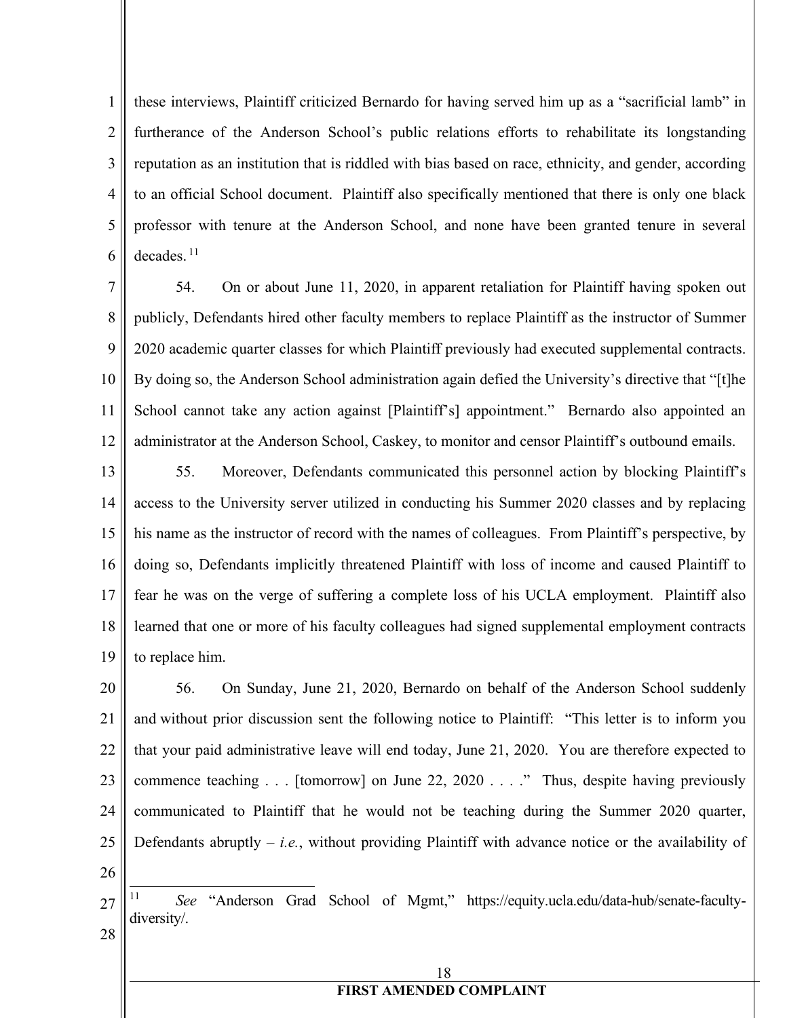1 2 3 4 5 6 these interviews, Plaintiff criticized Bernardo for having served him up as a "sacrificial lamb" in furtherance of the Anderson School's public relations efforts to rehabilitate its longstanding reputation as an institution that is riddled with bias based on race, ethnicity, and gender, according to an official School document. Plaintiff also specifically mentioned that there is only one black professor with tenure at the Anderson School, and none have been granted tenure in several decades. 11

7 8 9 10 11 12 54. On or about June 11, 2020, in apparent retaliation for Plaintiff having spoken out publicly, Defendants hired other faculty members to replace Plaintiff as the instructor of Summer 2020 academic quarter classes for which Plaintiff previously had executed supplemental contracts. By doing so, the Anderson School administration again defied the University's directive that "[t]he School cannot take any action against [Plaintiff's] appointment." Bernardo also appointed an administrator at the Anderson School, Caskey, to monitor and censor Plaintiff's outbound emails.

13 14 15 16 17 18 19 55. Moreover, Defendants communicated this personnel action by blocking Plaintiff's access to the University server utilized in conducting his Summer 2020 classes and by replacing his name as the instructor of record with the names of colleagues. From Plaintiff's perspective, by doing so, Defendants implicitly threatened Plaintiff with loss of income and caused Plaintiff to fear he was on the verge of suffering a complete loss of his UCLA employment. Plaintiff also learned that one or more of his faculty colleagues had signed supplemental employment contracts to replace him.

20 21 22 23 24 25 56. On Sunday, June 21, 2020, Bernardo on behalf of the Anderson School suddenly and without prior discussion sent the following notice to Plaintiff: "This letter is to inform you that your paid administrative leave will end today, June 21, 2020. You are therefore expected to commence teaching . . . [tomorrow] on June 22, 2020 . . . ." Thus, despite having previously communicated to Plaintiff that he would not be teaching during the Summer 2020 quarter, Defendants abruptly – *i.e.*, without providing Plaintiff with advance notice or the availability of

26

<sup>27</sup> 28 See "Anderson Grad School of Mgmt," https://equity.ucla.edu/data-hub/senate-facultydiversity/.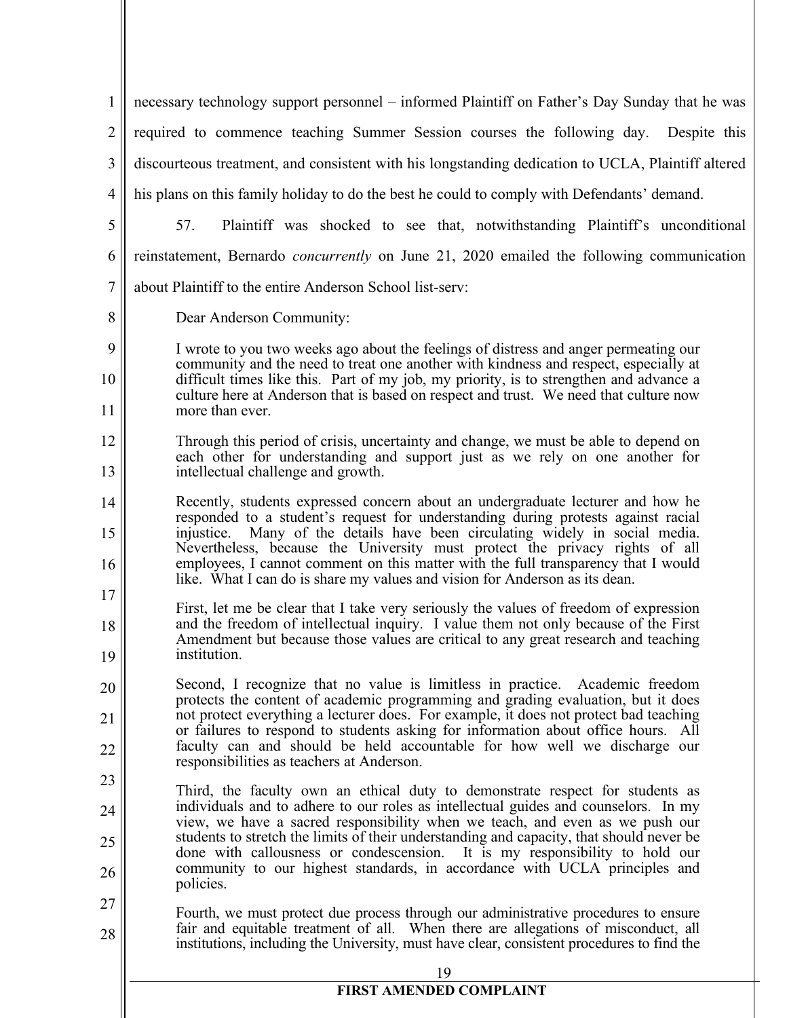| $\mathbf{1}$     | necessary technology support personnel – informed Plaintiff on Father's Day Sunday that he was                                                                                                                                                                          |
|------------------|-------------------------------------------------------------------------------------------------------------------------------------------------------------------------------------------------------------------------------------------------------------------------|
| $\overline{2}$   | required to commence teaching Summer Session courses the following day. Despite this                                                                                                                                                                                    |
| 3                | discourteous treatment, and consistent with his longstanding dedication to UCLA, Plaintiff altered                                                                                                                                                                      |
| $\overline{4}$   | his plans on this family holiday to do the best he could to comply with Defendants' demand.                                                                                                                                                                             |
| 5                | Plaintiff was shocked to see that, notwithstanding Plaintiff's unconditional<br>57.                                                                                                                                                                                     |
| 6                | reinstatement, Bernardo concurrently on June 21, 2020 emailed the following communication                                                                                                                                                                               |
| $\boldsymbol{7}$ | about Plaintiff to the entire Anderson School list-serv:                                                                                                                                                                                                                |
| 8                | Dear Anderson Community:                                                                                                                                                                                                                                                |
| 9                | I wrote to you two weeks ago about the feelings of distress and anger permeating our                                                                                                                                                                                    |
| 10               | community and the need to treat one another with kindness and respect, especially at<br>difficult times like this. Part of my job, my priority, is to strengthen and advance a                                                                                          |
| 11               | culture here at Anderson that is based on respect and trust. We need that culture now<br>more than ever.                                                                                                                                                                |
| 12               | Through this period of crisis, uncertainty and change, we must be able to depend on<br>each other for understanding and support just as we rely on one another for                                                                                                      |
| 13               | intellectual challenge and growth.                                                                                                                                                                                                                                      |
| 14               | Recently, students expressed concern about an undergraduate lecturer and how he<br>responded to a student's request for understanding during protests against racial                                                                                                    |
| 15               | Many of the details have been circulating widely in social media.<br>injustice.<br>Nevertheless, because the University must protect the privacy rights of all                                                                                                          |
| 16               | employees, I cannot comment on this matter with the full transparency that I would<br>like. What I can do is share my values and vision for Anderson as its dean.                                                                                                       |
| 17               | First, let me be clear that I take very seriously the values of freedom of expression                                                                                                                                                                                   |
| 18               | and the freedom of intellectual inquiry. I value them not only because of the First<br>Amendment but because those values are critical to any great research and teaching                                                                                               |
| 19               | institution.<br>Second, I recognize that no value is limitless in practice. Academic freedom                                                                                                                                                                            |
| 20               | protects the content of academic programming and grading evaluation, but it does<br>not protect everything a lecturer does. For example, it does not protect bad teaching                                                                                               |
| 21<br>22         | or failures to respond to students asking for information about office hours.<br>All<br>faculty can and should be held accountable for how well we discharge our                                                                                                        |
| 23               | responsibilities as teachers at Anderson.                                                                                                                                                                                                                               |
| 24               | Third, the faculty own an ethical duty to demonstrate respect for students as<br>individuals and to adhere to our roles as intellectual guides and counselors. In my                                                                                                    |
| 25               | view, we have a sacred responsibility when we teach, and even as we push our<br>students to stretch the limits of their understanding and capacity, that should never be                                                                                                |
| 26               | done with callousness or condescension. It is my responsibility to hold our<br>community to our highest standards, in accordance with UCLA principles and<br>policies.                                                                                                  |
| 27<br>28         | Fourth, we must protect due process through our administrative procedures to ensure<br>fair and equitable treatment of all. When there are allegations of misconduct, all<br>institutions, including the University, must have clear, consistent procedures to find the |
|                  |                                                                                                                                                                                                                                                                         |
|                  | <b>FIRST AMENDED COMPLAINT</b>                                                                                                                                                                                                                                          |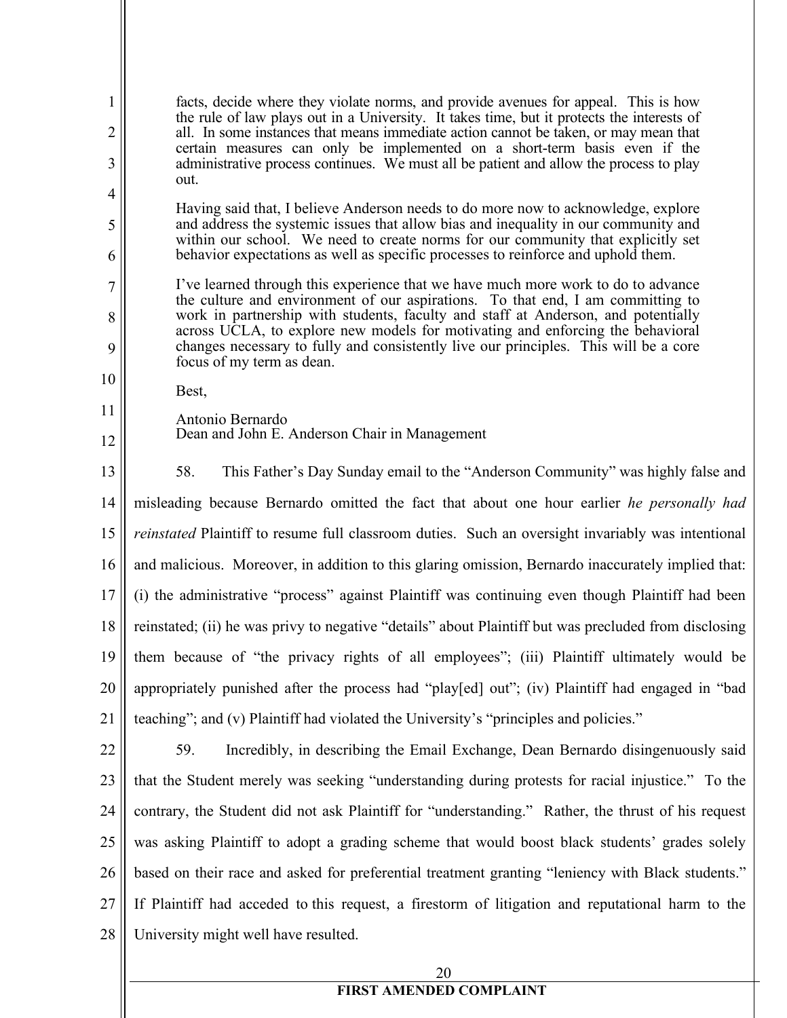1 2 3 4 5 6 7 8 9 10 11 12 13 14 15 16 17 18 19 20 21 22 23 24 25 26 27 28 20 facts, decide where they violate norms, and provide avenues for appeal. This is how the rule of law plays out in a University. It takes time, but it protects the interests of all. In some instances that means immediate action cannot be taken, or may mean that certain measures can only be implemented on a short-term basis even if the administrative process continues. We must all be patient and allow the process to play out. Having said that, I believe Anderson needs to do more now to acknowledge, explore and address the systemic issues that allow bias and inequality in our community and within our school. We need to create norms for our community that explicitly set behavior expectations as well as specific processes to reinforce and uphold them. I've learned through this experience that we have much more work to do to advance the culture and environment of our aspirations. To that end, I am committing to work in partnership with students, faculty and staff at Anderson, and potentially across UCLA, to explore new models for motivating and enforcing the behavioral changes necessary to fully and consistently live our principles. This will be a core focus of my term as dean. Best, Antonio Bernardo Dean and John E. Anderson Chair in Management 58. This Father's Day Sunday email to the "Anderson Community" was highly false and misleading because Bernardo omitted the fact that about one hour earlier *he personally had reinstated* Plaintiff to resume full classroom duties. Such an oversight invariably was intentional and malicious. Moreover, in addition to this glaring omission, Bernardo inaccurately implied that: (i) the administrative "process" against Plaintiff was continuing even though Plaintiff had been reinstated; (ii) he was privy to negative "details" about Plaintiff but was precluded from disclosing them because of "the privacy rights of all employees"; (iii) Plaintiff ultimately would be appropriately punished after the process had "play[ed] out"; (iv) Plaintiff had engaged in "bad teaching"; and (v) Plaintiff had violated the University's "principles and policies." 59. Incredibly, in describing the Email Exchange, Dean Bernardo disingenuously said that the Student merely was seeking "understanding during protests for racial injustice." To the contrary, the Student did not ask Plaintiff for "understanding." Rather, the thrust of his request was asking Plaintiff to adopt a grading scheme that would boost black students' grades solely based on their race and asked for preferential treatment granting "leniency with Black students." If Plaintiff had acceded to this request, a firestorm of litigation and reputational harm to the University might well have resulted.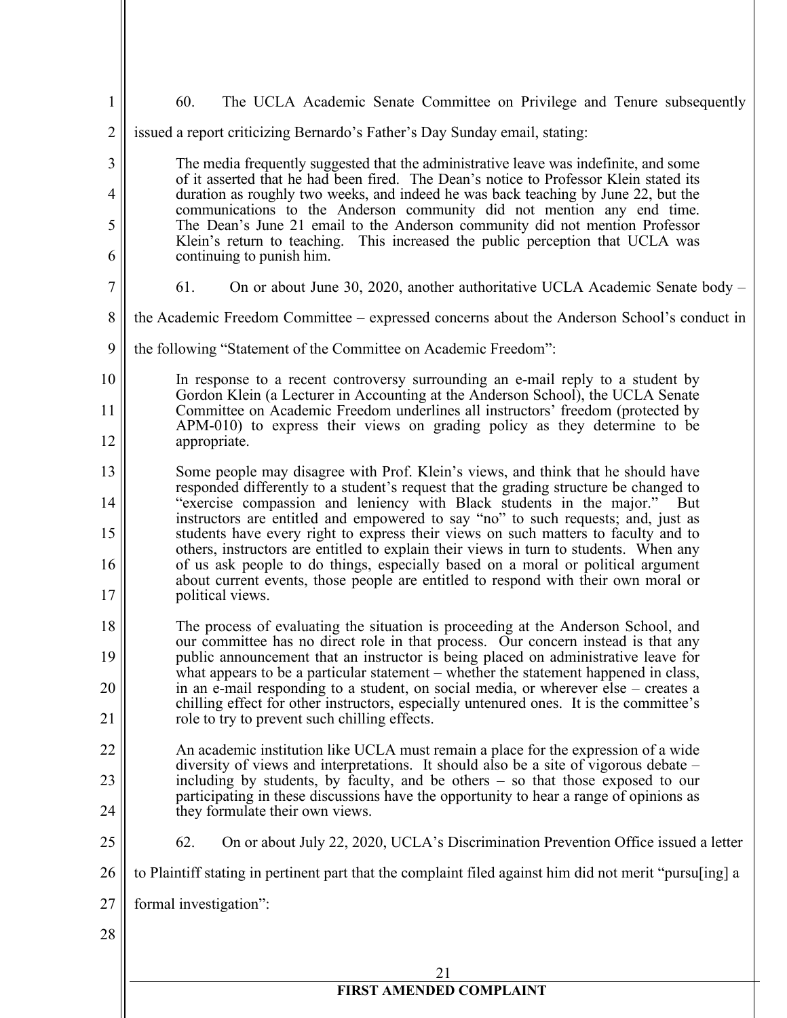| 1  | 60.<br>The UCLA Academic Senate Committee on Privilege and Tenure subsequently                                                                                                 |
|----|--------------------------------------------------------------------------------------------------------------------------------------------------------------------------------|
| 2  | issued a report criticizing Bernardo's Father's Day Sunday email, stating:                                                                                                     |
| 3  | The media frequently suggested that the administrative leave was indefinite, and some                                                                                          |
| 4  | of it asserted that he had been fired. The Dean's notice to Professor Klein stated its<br>duration as roughly two weeks, and indeed he was back teaching by June 22, but the   |
| 5  | communications to the Anderson community did not mention any end time.<br>The Dean's June 21 email to the Anderson community did not mention Professor                         |
| 6  | Klein's return to teaching. This increased the public perception that UCLA was<br>continuing to punish him.                                                                    |
| 7  | 61.<br>On or about June 30, 2020, another authoritative UCLA Academic Senate body –                                                                                            |
| 8  | the Academic Freedom Committee – expressed concerns about the Anderson School's conduct in                                                                                     |
| 9  | the following "Statement of the Committee on Academic Freedom":                                                                                                                |
| 10 | In response to a recent controversy surrounding an e-mail reply to a student by<br>Gordon Klein (a Lecturer in Accounting at the Anderson School), the UCLA Senate             |
| 11 | Committee on Academic Freedom underlines all instructors' freedom (protected by<br>APM-010) to express their views on grading policy as they determine to be                   |
| 12 | appropriate.                                                                                                                                                                   |
| 13 | Some people may disagree with Prof. Klein's views, and think that he should have<br>responded differently to a student's request that the grading structure be changed to      |
| 14 | "exercise compassion and leniency with Black students in the major."<br>– But<br>instructors are entitled and empowered to say "no" to such requests; and, just as             |
| 15 | students have every right to express their views on such matters to faculty and to<br>others, instructors are entitled to explain their views in turn to students. When any    |
| 16 | of us ask people to do things, especially based on a moral or political argument<br>about current events, those people are entitled to respond with their own moral or         |
| 17 | political views.                                                                                                                                                               |
| 18 | The process of evaluating the situation is proceeding at the Anderson School, and<br>our committee has no direct role in that process. Our concern instead is that any         |
| 19 | public announcement that an instructor is being placed on administrative leave for<br>what appears to be a particular statement – whether the statement happened in class,     |
| 20 | in an e-mail responding to a student, on social media, or wherever else – creates a<br>chilling effect for other instructors, especially untenured ones. It is the committee's |
| 21 | role to try to prevent such chilling effects.                                                                                                                                  |
| 22 | An academic institution like UCLA must remain a place for the expression of a wide<br>diversity of views and interpretations. It should also be a site of vigorous debate –    |
| 23 | including by students, by faculty, and be others – so that those exposed to our<br>participating in these discussions have the opportunity to hear a range of opinions as      |
| 24 | they formulate their own views.                                                                                                                                                |
| 25 | 62.<br>On or about July 22, 2020, UCLA's Discrimination Prevention Office issued a letter                                                                                      |
| 26 | to Plaintiff stating in pertinent part that the complaint filed against him did not merit "pursuling] a                                                                        |
| 27 | formal investigation":                                                                                                                                                         |
| 28 |                                                                                                                                                                                |
|    | 21                                                                                                                                                                             |
|    | <b>FIRST AMENDED COMPLAINT</b>                                                                                                                                                 |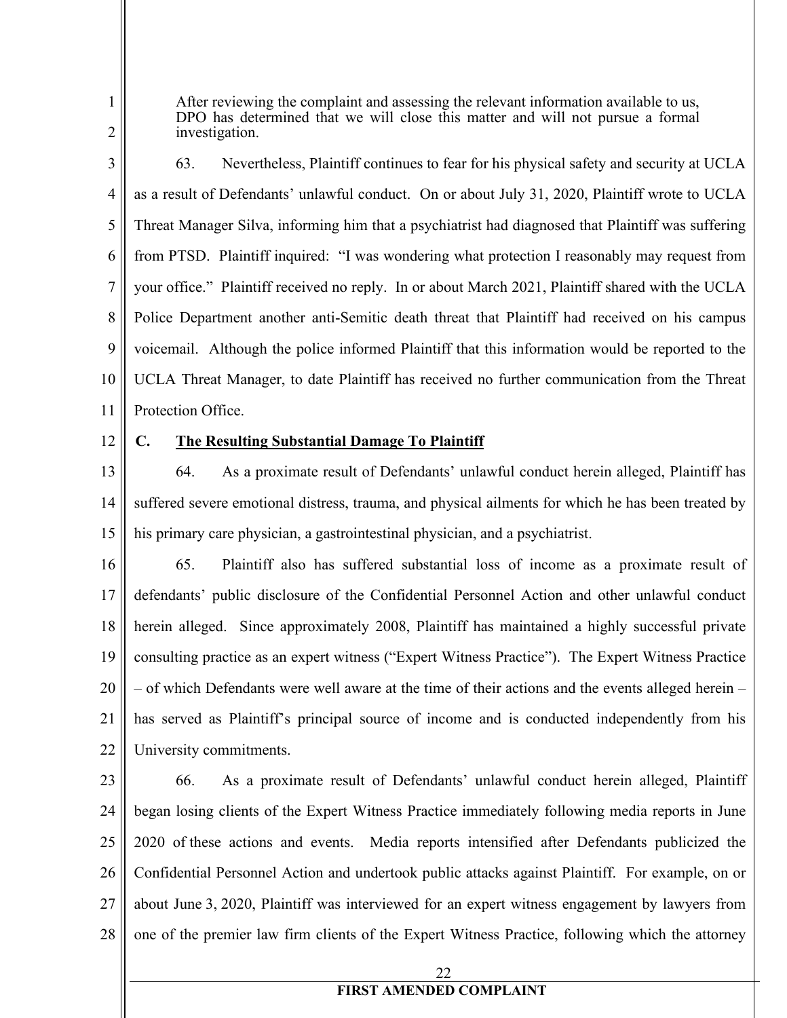After reviewing the complaint and assessing the relevant information available to us, DPO has determined that we will close this matter and will not pursue a formal investigation.

3 4 5 6 7 8 9 10 11 63. Nevertheless, Plaintiff continues to fear for his physical safety and security at UCLA as a result of Defendants' unlawful conduct. On or about July 31, 2020, Plaintiff wrote to UCLA Threat Manager Silva, informing him that a psychiatrist had diagnosed that Plaintiff was suffering from PTSD. Plaintiff inquired: "I was wondering what protection I reasonably may request from your office." Plaintiff received no reply. In or about March 2021, Plaintiff shared with the UCLA Police Department another anti-Semitic death threat that Plaintiff had received on his campus voicemail. Although the police informed Plaintiff that this information would be reported to the UCLA Threat Manager, to date Plaintiff has received no further communication from the Threat Protection Office.

12

1

2

#### **C. The Resulting Substantial Damage To Plaintiff**

13 14 15 64. As a proximate result of Defendants' unlawful conduct herein alleged, Plaintiff has suffered severe emotional distress, trauma, and physical ailments for which he has been treated by his primary care physician, a gastrointestinal physician, and a psychiatrist.

16 17 18 19 20 21 22 65. Plaintiff also has suffered substantial loss of income as a proximate result of defendants' public disclosure of the Confidential Personnel Action and other unlawful conduct herein alleged. Since approximately 2008, Plaintiff has maintained a highly successful private consulting practice as an expert witness ("Expert Witness Practice"). The Expert Witness Practice – of which Defendants were well aware at the time of their actions and the events alleged herein – has served as Plaintiff's principal source of income and is conducted independently from his University commitments.

23 24 25 26 27 28 66. As a proximate result of Defendants' unlawful conduct herein alleged, Plaintiff began losing clients of the Expert Witness Practice immediately following media reports in June 2020 of these actions and events. Media reports intensified after Defendants publicized the Confidential Personnel Action and undertook public attacks against Plaintiff. For example, on or about June 3, 2020, Plaintiff was interviewed for an expert witness engagement by lawyers from one of the premier law firm clients of the Expert Witness Practice, following which the attorney

22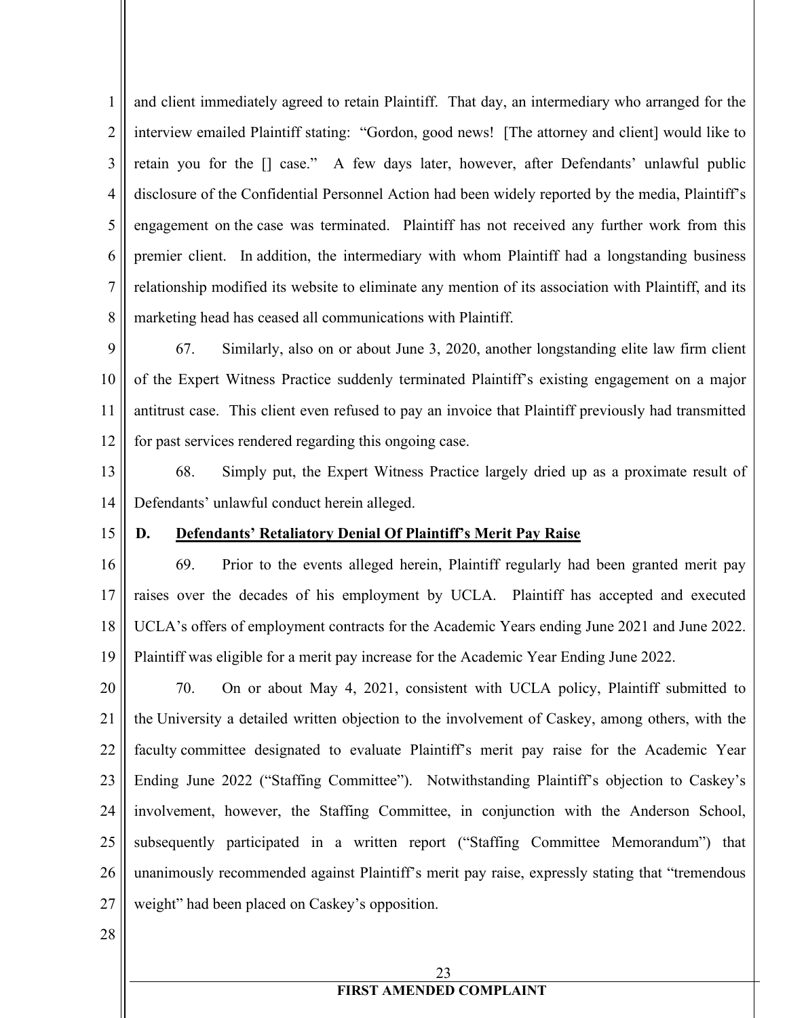1 2 3 4 5 6 7 8 and client immediately agreed to retain Plaintiff. That day, an intermediary who arranged for the interview emailed Plaintiff stating: "Gordon, good news! [The attorney and client] would like to retain you for the [] case." A few days later, however, after Defendants' unlawful public disclosure of the Confidential Personnel Action had been widely reported by the media, Plaintiff's engagement on the case was terminated. Plaintiff has not received any further work from this premier client. In addition, the intermediary with whom Plaintiff had a longstanding business relationship modified its website to eliminate any mention of its association with Plaintiff, and its marketing head has ceased all communications with Plaintiff.

9 10 11 12 67. Similarly, also on or about June 3, 2020, another longstanding elite law firm client of the Expert Witness Practice suddenly terminated Plaintiff's existing engagement on a major antitrust case. This client even refused to pay an invoice that Plaintiff previously had transmitted for past services rendered regarding this ongoing case.

13 14 68. Simply put, the Expert Witness Practice largely dried up as a proximate result of Defendants' unlawful conduct herein alleged.

15

#### **D. Defendants' Retaliatory Denial Of Plaintiff's Merit Pay Raise**

16 17 18 19 69. Prior to the events alleged herein, Plaintiff regularly had been granted merit pay raises over the decades of his employment by UCLA. Plaintiff has accepted and executed UCLA's offers of employment contracts for the Academic Years ending June 2021 and June 2022. Plaintiff was eligible for a merit pay increase for the Academic Year Ending June 2022.

20 21 22 23 24 25 26 27 70. On or about May 4, 2021, consistent with UCLA policy, Plaintiff submitted to the University a detailed written objection to the involvement of Caskey, among others, with the faculty committee designated to evaluate Plaintiff's merit pay raise for the Academic Year Ending June 2022 ("Staffing Committee"). Notwithstanding Plaintiff's objection to Caskey's involvement, however, the Staffing Committee, in conjunction with the Anderson School, subsequently participated in a written report ("Staffing Committee Memorandum") that unanimously recommended against Plaintiff's merit pay raise, expressly stating that "tremendous weight" had been placed on Caskey's opposition.

28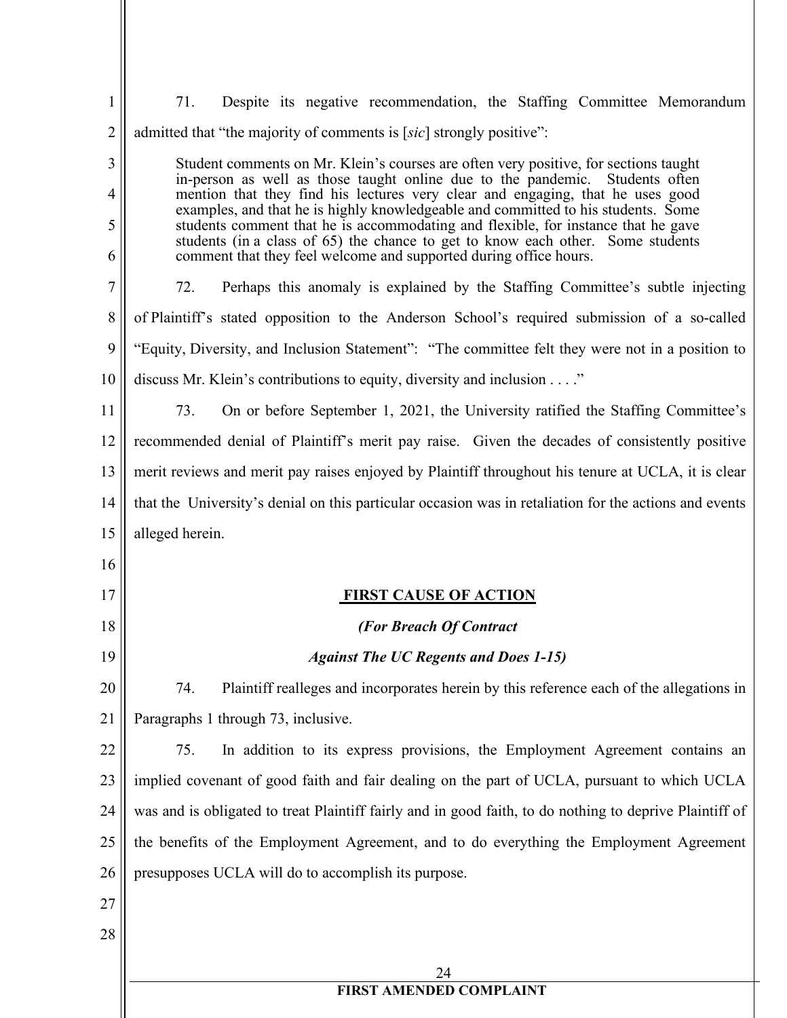| $\mathbf{1}$ | 71.<br>Despite its negative recommendation, the Staffing Committee Memorandum                                                                                          |
|--------------|------------------------------------------------------------------------------------------------------------------------------------------------------------------------|
| 2            | admitted that "the majority of comments is [sic] strongly positive":                                                                                                   |
| 3            | Student comments on Mr. Klein's courses are often very positive, for sections taught                                                                                   |
| 4            | in-person as well as those taught online due to the pandemic.<br>Students often<br>mention that they find his lectures very clear and engaging, that he uses good      |
| 5            | examples, and that he is highly knowledgeable and committed to his students. Some<br>students comment that he is accommodating and flexible, for instance that he gave |
| 6            | students (in a class of 65) the chance to get to know each other. Some students<br>comment that they feel welcome and supported during office hours.                   |
| 7            | 72.<br>Perhaps this anomaly is explained by the Staffing Committee's subtle injecting                                                                                  |
| 8            | of Plaintiff's stated opposition to the Anderson School's required submission of a so-called                                                                           |
| 9            | "Equity, Diversity, and Inclusion Statement": "The committee felt they were not in a position to                                                                       |
| 10           | discuss Mr. Klein's contributions to equity, diversity and inclusion"                                                                                                  |
| 11           | 73.<br>On or before September 1, 2021, the University ratified the Staffing Committee's                                                                                |
| 12           | recommended denial of Plaintiff's merit pay raise. Given the decades of consistently positive                                                                          |
| 13           | merit reviews and merit pay raises enjoyed by Plaintiff throughout his tenure at UCLA, it is clear                                                                     |
| 14           | that the University's denial on this particular occasion was in retaliation for the actions and events                                                                 |
| 15           | alleged herein.                                                                                                                                                        |
| 16           |                                                                                                                                                                        |
| 17           | <b>FIRST CAUSE OF ACTION</b>                                                                                                                                           |
| 18           | (For Breach Of Contract                                                                                                                                                |
| 19           | <b>Against The UC Regents and Does 1-15)</b>                                                                                                                           |
| 20           | 74.<br>Plaintiff realleges and incorporates herein by this reference each of the allegations in                                                                        |
| 21           | Paragraphs 1 through 73, inclusive.                                                                                                                                    |
| 22           | 75.<br>In addition to its express provisions, the Employment Agreement contains an                                                                                     |
| 23           | implied covenant of good faith and fair dealing on the part of UCLA, pursuant to which UCLA                                                                            |
| 24           | was and is obligated to treat Plaintiff fairly and in good faith, to do nothing to deprive Plaintiff of                                                                |
| 25           | the benefits of the Employment Agreement, and to do everything the Employment Agreement                                                                                |
| 26           | presupposes UCLA will do to accomplish its purpose.                                                                                                                    |
| 27           |                                                                                                                                                                        |
| 28           |                                                                                                                                                                        |
|              |                                                                                                                                                                        |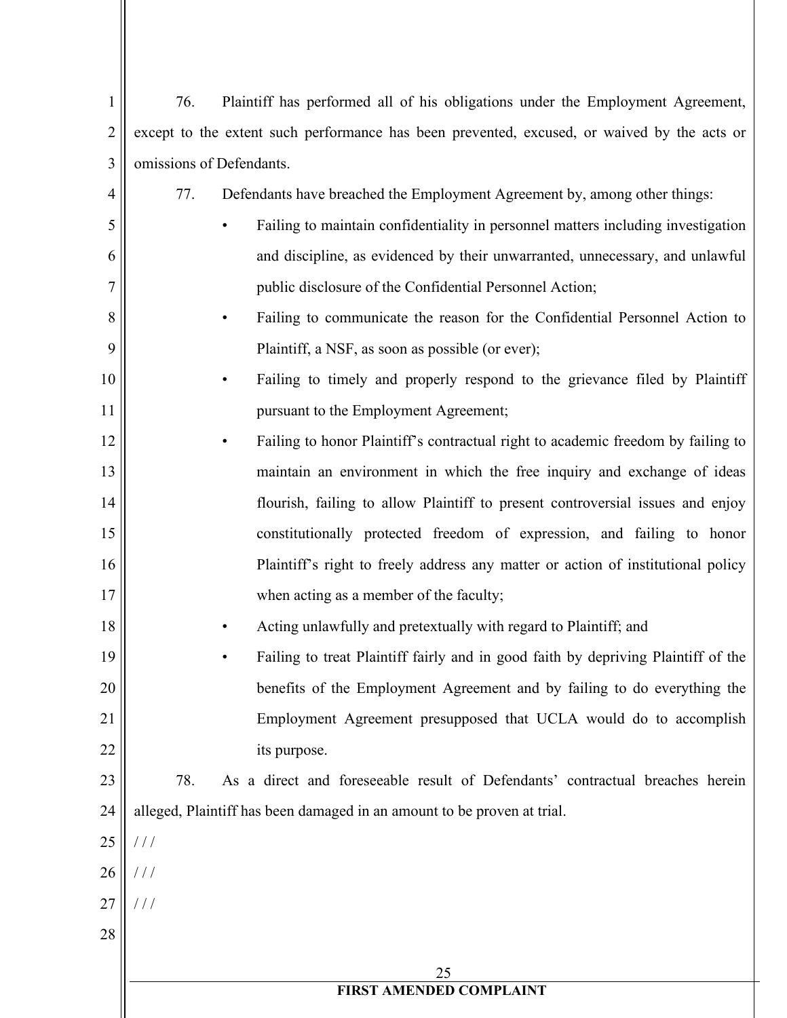| 1  | 76.<br>Plaintiff has performed all of his obligations under the Employment Agreement,       |
|----|---------------------------------------------------------------------------------------------|
| 2  | except to the extent such performance has been prevented, excused, or waived by the acts or |
| 3  | omissions of Defendants.                                                                    |
| 4  | 77.<br>Defendants have breached the Employment Agreement by, among other things:            |
| 5  | Failing to maintain confidentiality in personnel matters including investigation            |
| 6  | and discipline, as evidenced by their unwarranted, unnecessary, and unlawful                |
| 7  | public disclosure of the Confidential Personnel Action;                                     |
| 8  | Failing to communicate the reason for the Confidential Personnel Action to                  |
| 9  | Plaintiff, a NSF, as soon as possible (or ever);                                            |
| 10 | Failing to timely and properly respond to the grievance filed by Plaintiff                  |
| 11 | pursuant to the Employment Agreement;                                                       |
| 12 | Failing to honor Plaintiff's contractual right to academic freedom by failing to            |
| 13 | maintain an environment in which the free inquiry and exchange of ideas                     |
| 14 | flourish, failing to allow Plaintiff to present controversial issues and enjoy              |
| 15 | constitutionally protected freedom of expression, and failing to honor                      |
| 16 | Plaintiff's right to freely address any matter or action of institutional policy            |
| 17 | when acting as a member of the faculty;                                                     |
| 18 | Acting unlawfully and pretextually with regard to Plaintiff; and                            |
| 19 | Failing to treat Plaintiff fairly and in good faith by depriving Plaintiff of the           |
| 20 | benefits of the Employment Agreement and by failing to do everything the                    |
| 21 | Employment Agreement presupposed that UCLA would do to accomplish                           |
| 22 | its purpose.                                                                                |
| 23 | 78.<br>As a direct and foreseeable result of Defendants' contractual breaches herein        |
| 24 | alleged, Plaintiff has been damaged in an amount to be proven at trial.                     |
| 25 | $\frac{1}{2}$                                                                               |
| 26 | $\frac{1}{2}$                                                                               |
| 27 | 111                                                                                         |
| 28 |                                                                                             |
|    | 25                                                                                          |
|    | FIRST AMENDED COMPLAINT                                                                     |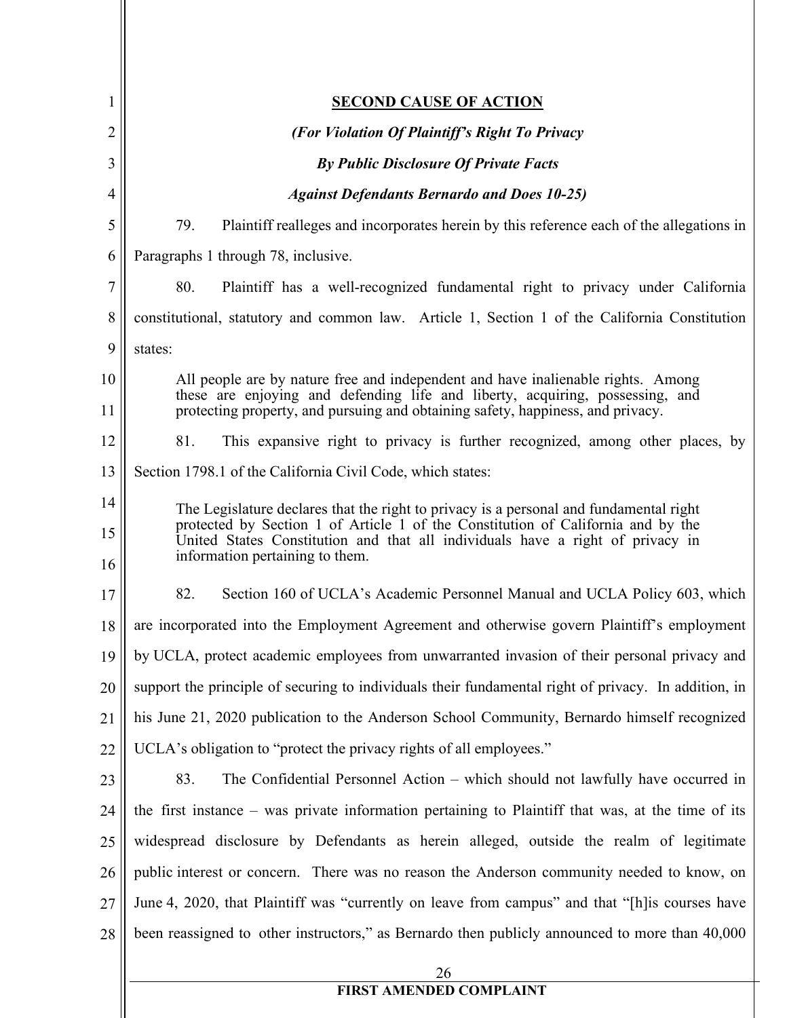| $\mathbf{1}$   | <b>SECOND CAUSE OF ACTION</b>                                                                                                                                      |
|----------------|--------------------------------------------------------------------------------------------------------------------------------------------------------------------|
| 2              | (For Violation Of Plaintiff's Right To Privacy                                                                                                                     |
| 3              | <b>By Public Disclosure Of Private Facts</b>                                                                                                                       |
| $\overline{4}$ | <b>Against Defendants Bernardo and Does 10-25)</b>                                                                                                                 |
| 5              | 79.<br>Plaintiff realleges and incorporates herein by this reference each of the allegations in                                                                    |
| 6              | Paragraphs 1 through 78, inclusive.                                                                                                                                |
| 7              | 80.<br>Plaintiff has a well-recognized fundamental right to privacy under California                                                                               |
| 8              | constitutional, statutory and common law. Article 1, Section 1 of the California Constitution                                                                      |
| 9              | states:                                                                                                                                                            |
| 10             | All people are by nature free and independent and have inalienable rights. Among                                                                                   |
| 11             | these are enjoying and defending life and liberty, acquiring, possessing, and<br>protecting property, and pursuing and obtaining safety, happiness, and privacy.   |
| 12             | 81.<br>This expansive right to privacy is further recognized, among other places, by                                                                               |
| 13             | Section 1798.1 of the California Civil Code, which states:                                                                                                         |
| 14             | The Legislature declares that the right to privacy is a personal and fundamental right                                                                             |
| 15             | protected by Section 1 of Article 1 of the Constitution of California and by the<br>United States Constitution and that all individuals have a right of privacy in |
| 16             | information pertaining to them.                                                                                                                                    |
| 17             | 82.<br>Section 160 of UCLA's Academic Personnel Manual and UCLA Policy 603, which                                                                                  |
| 18             | are incorporated into the Employment Agreement and otherwise govern Plaintiff's employment                                                                         |
| 19             | by UCLA, protect academic employees from unwarranted invasion of their personal privacy and                                                                        |
| 20             | support the principle of securing to individuals their fundamental right of privacy. In addition, in                                                               |
| 21             | his June 21, 2020 publication to the Anderson School Community, Bernardo himself recognized                                                                        |
| 22             | UCLA's obligation to "protect the privacy rights of all employees."                                                                                                |
| 23             | 83.<br>The Confidential Personnel Action – which should not lawfully have occurred in                                                                              |
| 24             | the first instance – was private information pertaining to Plaintiff that was, at the time of its                                                                  |
| 25             | widespread disclosure by Defendants as herein alleged, outside the realm of legitimate                                                                             |
| 26             | public interest or concern. There was no reason the Anderson community needed to know, on                                                                          |
| 27             | June 4, 2020, that Plaintiff was "currently on leave from campus" and that "[h] is courses have                                                                    |
| 28             | been reassigned to other instructors," as Bernardo then publicly announced to more than 40,000                                                                     |
|                | 26<br><b>FIRST AMENDED COMPLAINT</b>                                                                                                                               |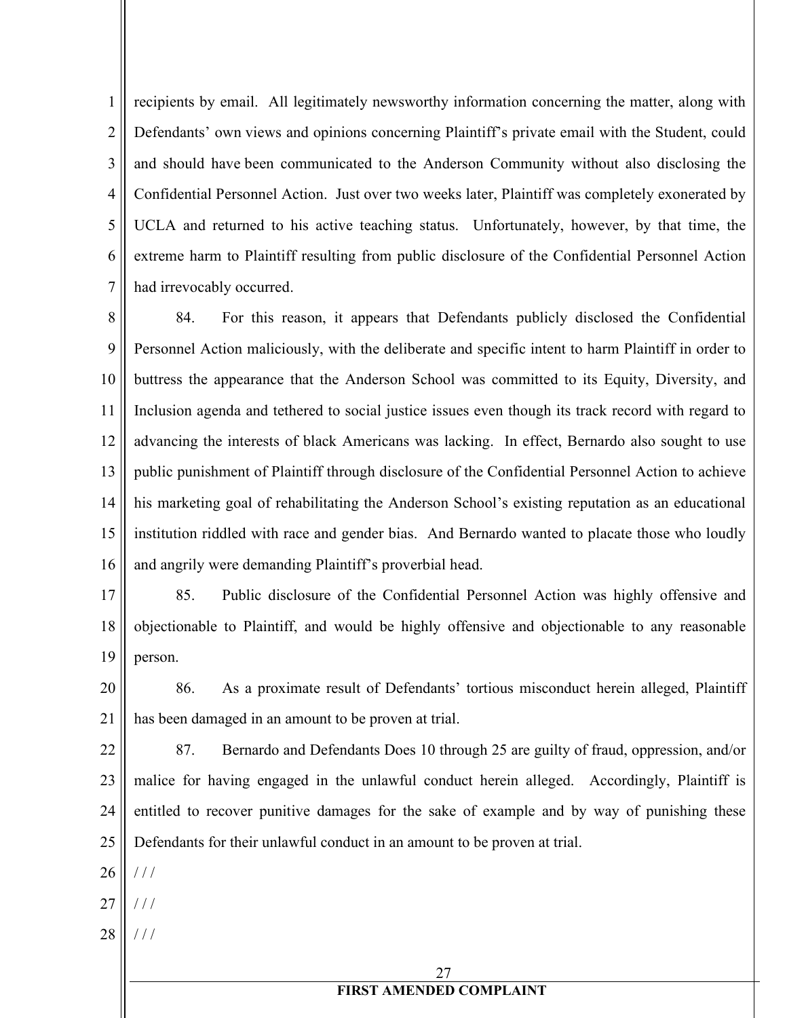1 2 3 4 5 6 7 recipients by email. All legitimately newsworthy information concerning the matter, along with Defendants' own views and opinions concerning Plaintiff's private email with the Student, could and should have been communicated to the Anderson Community without also disclosing the Confidential Personnel Action. Just over two weeks later, Plaintiff was completely exonerated by UCLA and returned to his active teaching status. Unfortunately, however, by that time, the extreme harm to Plaintiff resulting from public disclosure of the Confidential Personnel Action had irrevocably occurred.

8 9 10 11 12 13 14 15 16 84. For this reason, it appears that Defendants publicly disclosed the Confidential Personnel Action maliciously, with the deliberate and specific intent to harm Plaintiff in order to buttress the appearance that the Anderson School was committed to its Equity, Diversity, and Inclusion agenda and tethered to social justice issues even though its track record with regard to advancing the interests of black Americans was lacking. In effect, Bernardo also sought to use public punishment of Plaintiff through disclosure of the Confidential Personnel Action to achieve his marketing goal of rehabilitating the Anderson School's existing reputation as an educational institution riddled with race and gender bias. And Bernardo wanted to placate those who loudly and angrily were demanding Plaintiff's proverbial head.

17 18 19 85. Public disclosure of the Confidential Personnel Action was highly offensive and objectionable to Plaintiff, and would be highly offensive and objectionable to any reasonable person.

20 21 86. As a proximate result of Defendants' tortious misconduct herein alleged, Plaintiff has been damaged in an amount to be proven at trial.

22 23 24 25 87. Bernardo and Defendants Does 10 through 25 are guilty of fraud, oppression, and/or malice for having engaged in the unlawful conduct herein alleged. Accordingly, Plaintiff is entitled to recover punitive damages for the sake of example and by way of punishing these Defendants for their unlawful conduct in an amount to be proven at trial.

26  $/$  /  $/$ 

- 27  $//$
- 28 / / /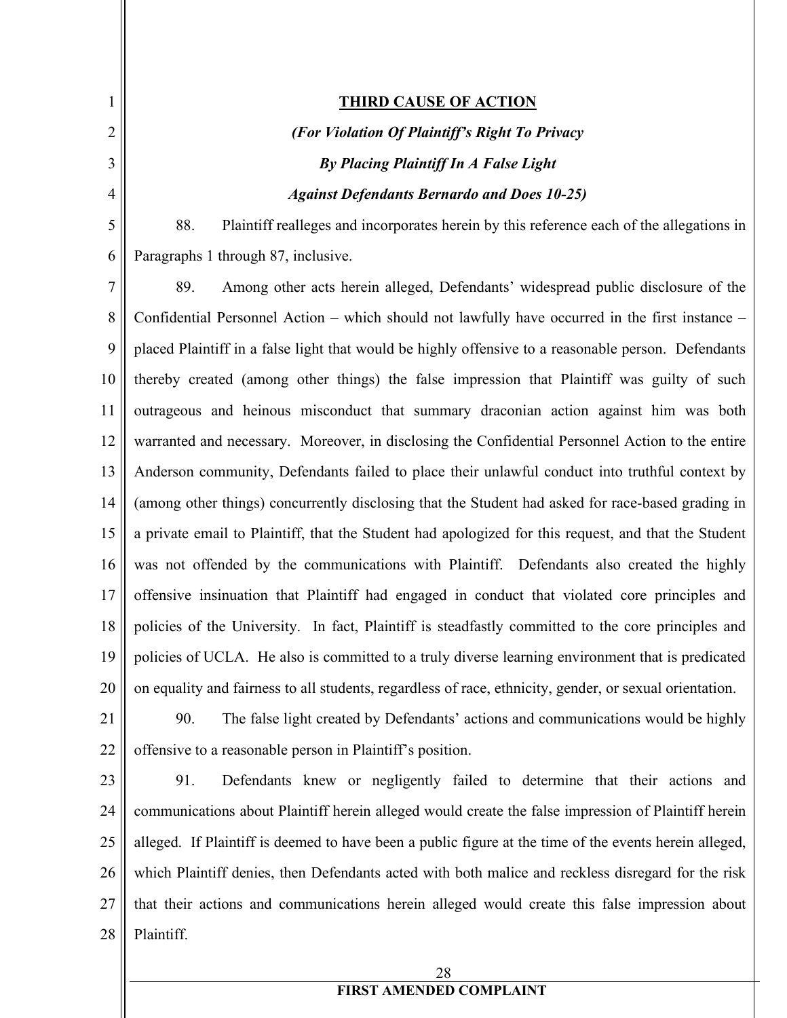1 2 3 4 5 6 7 8 9 10 11 12 13 14 15 16 17 18 19 20 21 22 23 24 **THIRD CAUSE OF ACTION** *(For Violation Of Plaintiff's Right To Privacy By Placing Plaintiff In A False Light Against Defendants Bernardo and Does 10-25)* 88. Plaintiff realleges and incorporates herein by this reference each of the allegations in Paragraphs 1 through 87, inclusive. 89. Among other acts herein alleged, Defendants' widespread public disclosure of the Confidential Personnel Action – which should not lawfully have occurred in the first instance – placed Plaintiff in a false light that would be highly offensive to a reasonable person. Defendants thereby created (among other things) the false impression that Plaintiff was guilty of such outrageous and heinous misconduct that summary draconian action against him was both warranted and necessary. Moreover, in disclosing the Confidential Personnel Action to the entire Anderson community, Defendants failed to place their unlawful conduct into truthful context by (among other things) concurrently disclosing that the Student had asked for race-based grading in a private email to Plaintiff, that the Student had apologized for this request, and that the Student was not offended by the communications with Plaintiff. Defendants also created the highly offensive insinuation that Plaintiff had engaged in conduct that violated core principles and policies of the University. In fact, Plaintiff is steadfastly committed to the core principles and policies of UCLA. He also is committed to a truly diverse learning environment that is predicated on equality and fairness to all students, regardless of race, ethnicity, gender, or sexual orientation. 90. The false light created by Defendants' actions and communications would be highly offensive to a reasonable person in Plaintiff's position. 91. Defendants knew or negligently failed to determine that their actions and communications about Plaintiff herein alleged would create the false impression of Plaintiff herein

28

alleged. If Plaintiff is deemed to have been a public figure at the time of the events herein alleged,

which Plaintiff denies, then Defendants acted with both malice and reckless disregard for the risk

that their actions and communications herein alleged would create this false impression about

25

26

27

28

Plaintiff.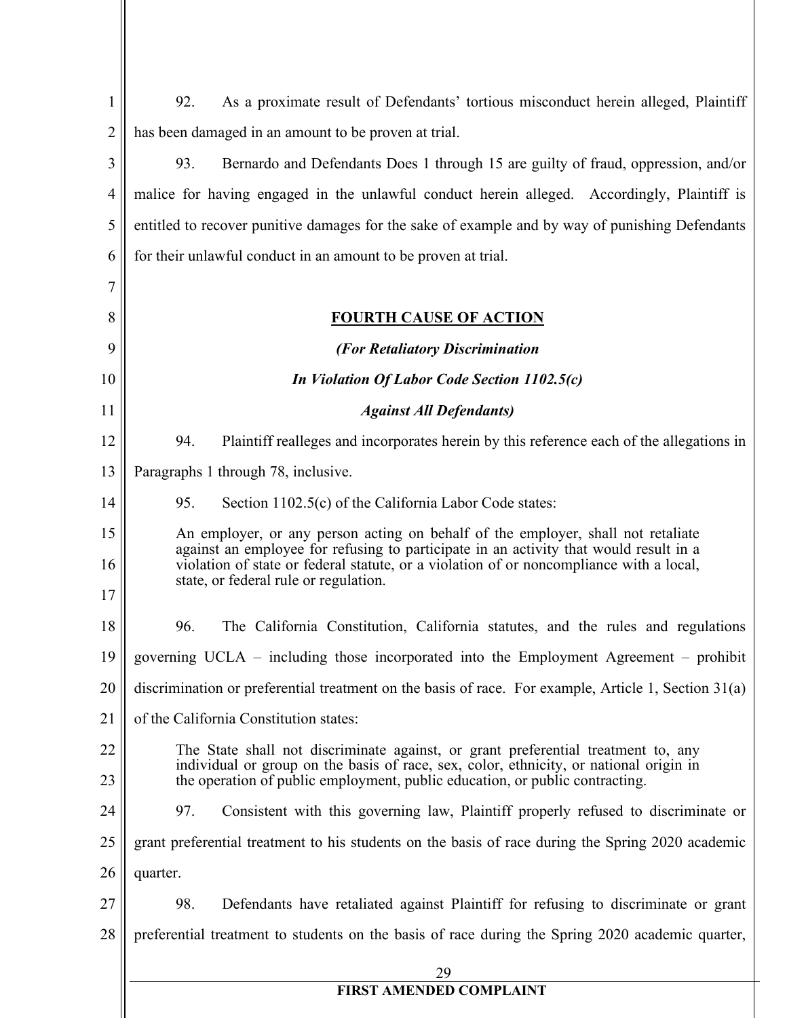| 1              | As a proximate result of Defendants' tortious misconduct herein alleged, Plaintiff<br>92.                                                                                   |
|----------------|-----------------------------------------------------------------------------------------------------------------------------------------------------------------------------|
| 2              | has been damaged in an amount to be proven at trial.                                                                                                                        |
| 3              | Bernardo and Defendants Does 1 through 15 are guilty of fraud, oppression, and/or<br>93.                                                                                    |
| $\overline{4}$ | malice for having engaged in the unlawful conduct herein alleged. Accordingly, Plaintiff is                                                                                 |
| 5              | entitled to recover punitive damages for the sake of example and by way of punishing Defendants                                                                             |
| 6              | for their unlawful conduct in an amount to be proven at trial.                                                                                                              |
| 7              |                                                                                                                                                                             |
| 8              | <b>FOURTH CAUSE OF ACTION</b>                                                                                                                                               |
| 9              | (For Retaliatory Discrimination                                                                                                                                             |
| 10             | In Violation Of Labor Code Section 1102.5(c)                                                                                                                                |
| 11             | <b>Against All Defendants)</b>                                                                                                                                              |
| 12             | 94.<br>Plaintiff realleges and incorporates herein by this reference each of the allegations in                                                                             |
| 13             | Paragraphs 1 through 78, inclusive.                                                                                                                                         |
| 14             | Section 1102.5(c) of the California Labor Code states:<br>95.                                                                                                               |
| 15             | An employer, or any person acting on behalf of the employer, shall not retaliate<br>against an employee for refusing to participate in an activity that would result in a   |
| 16             | violation of state or federal statute, or a violation of or noncompliance with a local,<br>state, or federal rule or regulation.                                            |
| 17             |                                                                                                                                                                             |
| 18             | 96.<br>The California Constitution, California statutes, and the rules and regulations                                                                                      |
| 19             | governing UCLA – including those incorporated into the Employment Agreement – prohibit                                                                                      |
| 20             | discrimination or preferential treatment on the basis of race. For example, Article 1, Section 31(a)                                                                        |
| 21             | of the California Constitution states:                                                                                                                                      |
| 22             | The State shall not discriminate against, or grant preferential treatment to, any<br>individual or group on the basis of race, sex, color, ethnicity, or national origin in |
| 23             | the operation of public employment, public education, or public contracting.                                                                                                |
| 24             | Consistent with this governing law, Plaintiff properly refused to discriminate or<br>97.                                                                                    |
| 25             | grant preferential treatment to his students on the basis of race during the Spring 2020 academic                                                                           |
| 26             | quarter.                                                                                                                                                                    |
| 27             | 98.<br>Defendants have retaliated against Plaintiff for refusing to discriminate or grant                                                                                   |
| 28             | preferential treatment to students on the basis of race during the Spring 2020 academic quarter,                                                                            |
|                | 29                                                                                                                                                                          |
|                | <b>FIRST AMENDED COMPLAINT</b>                                                                                                                                              |
|                |                                                                                                                                                                             |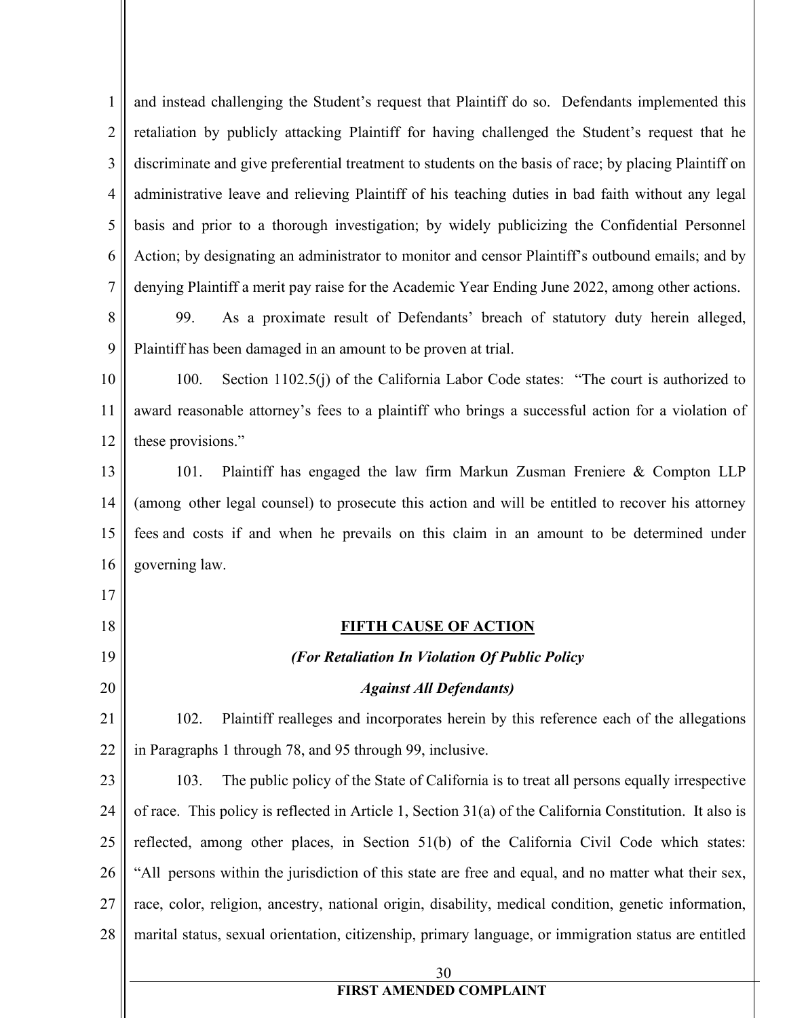1 2 3 4 5 6 7 8 9 10 11 12 13 14 15 16 17 18 19 20 21 22 23 24 25 26 27 28 30 and instead challenging the Student's request that Plaintiff do so. Defendants implemented this retaliation by publicly attacking Plaintiff for having challenged the Student's request that he discriminate and give preferential treatment to students on the basis of race; by placing Plaintiff on administrative leave and relieving Plaintiff of his teaching duties in bad faith without any legal basis and prior to a thorough investigation; by widely publicizing the Confidential Personnel Action; by designating an administrator to monitor and censor Plaintiff's outbound emails; and by denying Plaintiff a merit pay raise for the Academic Year Ending June 2022, among other actions. 99. As a proximate result of Defendants' breach of statutory duty herein alleged, Plaintiff has been damaged in an amount to be proven at trial. 100. Section 1102.5(j) of the California Labor Code states: "The court is authorized to award reasonable attorney's fees to a plaintiff who brings a successful action for a violation of these provisions." 101. Plaintiff has engaged the law firm Markun Zusman Freniere & Compton LLP (among other legal counsel) to prosecute this action and will be entitled to recover his attorney fees and costs if and when he prevails on this claim in an amount to be determined under governing law. **FIFTH CAUSE OF ACTION** *(For Retaliation In Violation Of Public Policy Against All Defendants)* 102. Plaintiff realleges and incorporates herein by this reference each of the allegations in Paragraphs 1 through 78, and 95 through 99, inclusive. 103. The public policy of the State of California is to treat all persons equally irrespective of race. This policy is reflected in Article 1, Section 31(a) of the California Constitution. It also is reflected, among other places, in Section 51(b) of the California Civil Code which states: "All persons within the jurisdiction of this state are free and equal, and no matter what their sex, race, color, religion, ancestry, national origin, disability, medical condition, genetic information, marital status, sexual orientation, citizenship, primary language, or immigration status are entitled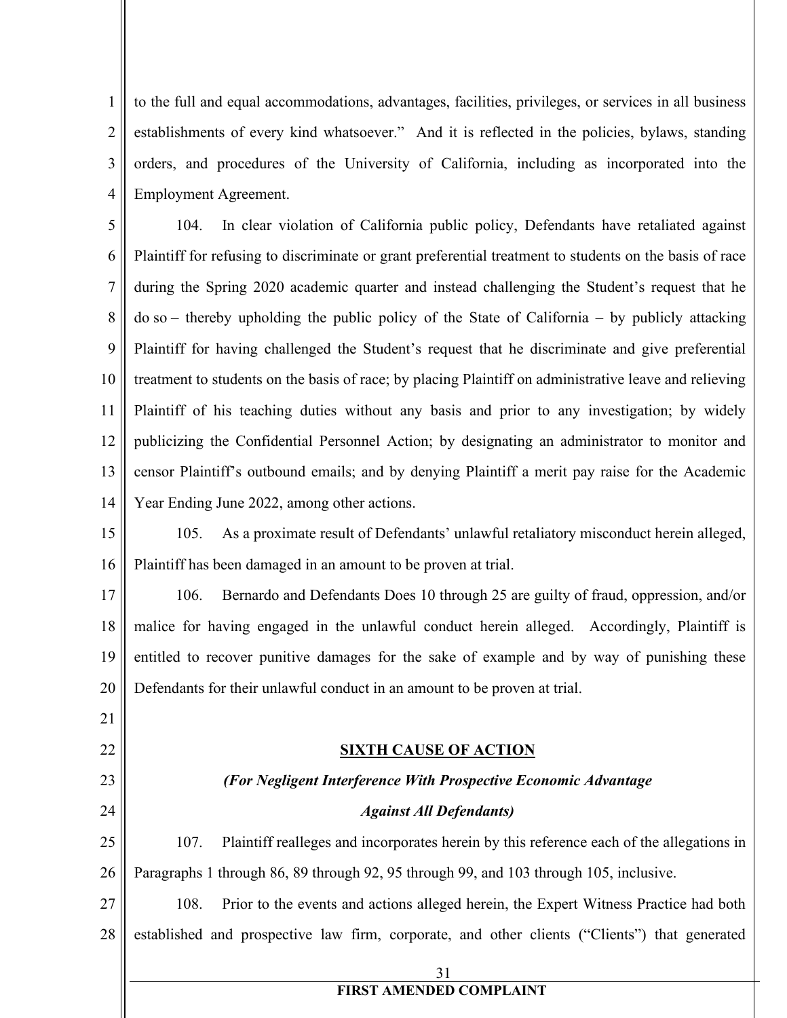1 2 3 4 to the full and equal accommodations, advantages, facilities, privileges, or services in all business establishments of every kind whatsoever." And it is reflected in the policies, bylaws, standing orders, and procedures of the University of California, including as incorporated into the Employment Agreement.

5 6 7 8 9 10 11 12 13 14 104. In clear violation of California public policy, Defendants have retaliated against Plaintiff for refusing to discriminate or grant preferential treatment to students on the basis of race during the Spring 2020 academic quarter and instead challenging the Student's request that he do so – thereby upholding the public policy of the State of California – by publicly attacking Plaintiff for having challenged the Student's request that he discriminate and give preferential treatment to students on the basis of race; by placing Plaintiff on administrative leave and relieving Plaintiff of his teaching duties without any basis and prior to any investigation; by widely publicizing the Confidential Personnel Action; by designating an administrator to monitor and censor Plaintiff's outbound emails; and by denying Plaintiff a merit pay raise for the Academic Year Ending June 2022, among other actions.

15 16 105. As a proximate result of Defendants' unlawful retaliatory misconduct herein alleged, Plaintiff has been damaged in an amount to be proven at trial.

17 18 19 20 106. Bernardo and Defendants Does 10 through 25 are guilty of fraud, oppression, and/or malice for having engaged in the unlawful conduct herein alleged. Accordingly, Plaintiff is entitled to recover punitive damages for the sake of example and by way of punishing these Defendants for their unlawful conduct in an amount to be proven at trial.

- 21
- 22
- 23
- 24

# *(For Negligent Interference With Prospective Economic Advantage*

#### *Against All Defendants)*

**SIXTH CAUSE OF ACTION**

25 26 107. Plaintiff realleges and incorporates herein by this reference each of the allegations in Paragraphs 1 through 86, 89 through 92, 95 through 99, and 103 through 105, inclusive.

27 28 108. Prior to the events and actions alleged herein, the Expert Witness Practice had both established and prospective law firm, corporate, and other clients ("Clients") that generated

31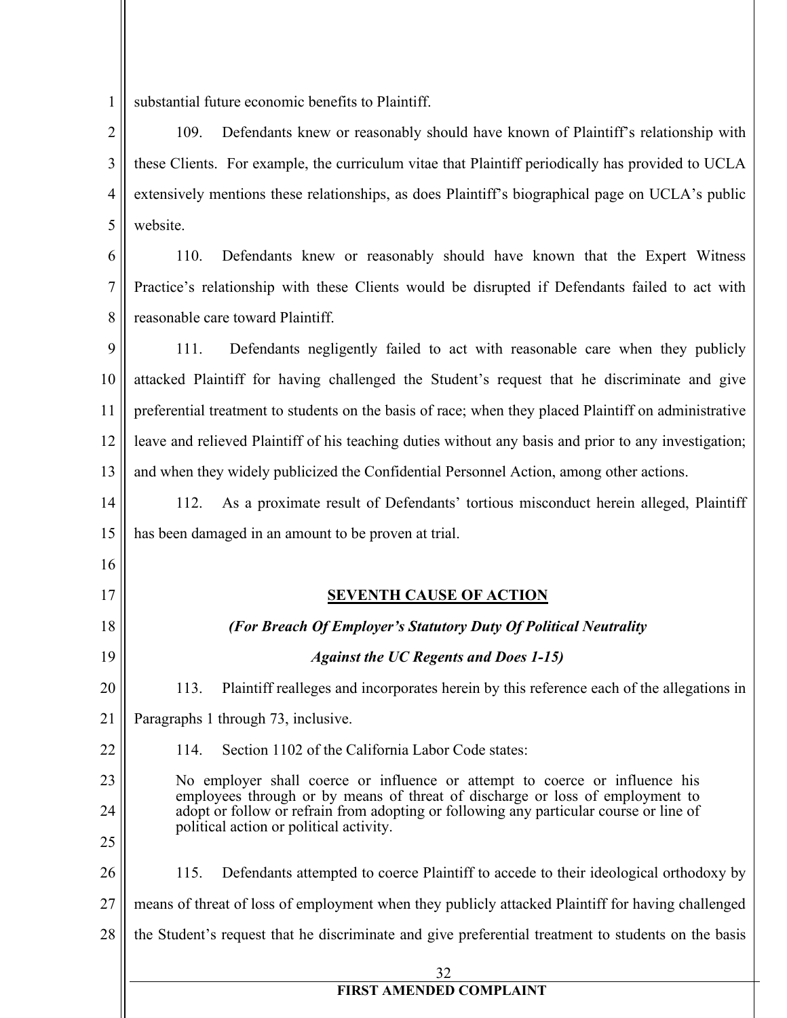1 substantial future economic benefits to Plaintiff.

2 3 4 5 109. Defendants knew or reasonably should have known of Plaintiff's relationship with these Clients. For example, the curriculum vitae that Plaintiff periodically has provided to UCLA extensively mentions these relationships, as does Plaintiff's biographical page on UCLA's public website.

6 7 8 110. Defendants knew or reasonably should have known that the Expert Witness Practice's relationship with these Clients would be disrupted if Defendants failed to act with reasonable care toward Plaintiff.

9 10 11 12 13 111. Defendants negligently failed to act with reasonable care when they publicly attacked Plaintiff for having challenged the Student's request that he discriminate and give preferential treatment to students on the basis of race; when they placed Plaintiff on administrative leave and relieved Plaintiff of his teaching duties without any basis and prior to any investigation; and when they widely publicized the Confidential Personnel Action, among other actions.

14 15 112. As a proximate result of Defendants' tortious misconduct herein alleged, Plaintiff has been damaged in an amount to be proven at trial.

16

 $17$ 

#### **SEVENTH CAUSE OF ACTION**

| $\frac{1}{2}$ | <u>SEVENTH CAUSE OF ACTION</u>                                                                                                                                                                                                                                                                    |  |  |
|---------------|---------------------------------------------------------------------------------------------------------------------------------------------------------------------------------------------------------------------------------------------------------------------------------------------------|--|--|
| 18            | (For Breach Of Employer's Statutory Duty Of Political Neutrality                                                                                                                                                                                                                                  |  |  |
| 19            | <b>Against the UC Regents and Does 1-15)</b>                                                                                                                                                                                                                                                      |  |  |
| 20            | Plaintiff realleges and incorporates herein by this reference each of the allegations in<br>113.                                                                                                                                                                                                  |  |  |
| 21            | Paragraphs 1 through 73, inclusive.                                                                                                                                                                                                                                                               |  |  |
| 22            | Section 1102 of the California Labor Code states:<br>114.                                                                                                                                                                                                                                         |  |  |
| 23<br>24      | No employer shall coerce or influence or attempt to coerce or influence his<br>employees through or by means of threat of discharge or loss of employment to<br>adopt or follow or refrain from adopting or following any particular course or line of<br>political action or political activity. |  |  |
| 25            |                                                                                                                                                                                                                                                                                                   |  |  |
| 26            | Defendants attempted to coerce Plaintiff to accede to their ideological orthodoxy by<br>115.                                                                                                                                                                                                      |  |  |
| 27            | means of threat of loss of employment when they publicly attacked Plaintiff for having challenged                                                                                                                                                                                                 |  |  |
| 28            | the Student's request that he discriminate and give preferential treatment to students on the basis                                                                                                                                                                                               |  |  |
|               | 32                                                                                                                                                                                                                                                                                                |  |  |